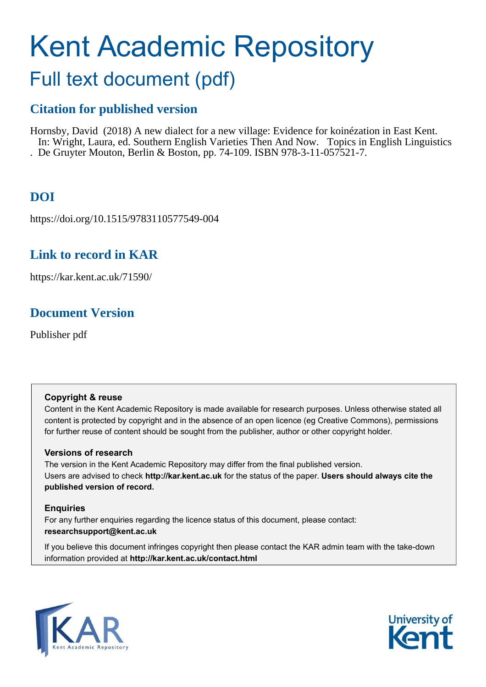# Kent Academic Repository

## Full text document (pdf)

## **Citation for published version**

Hornsby, David (2018) A new dialect for a new village: Evidence for koinézation in East Kent. In: Wright, Laura, ed. Southern English Varieties Then And Now. Topics in English Linguistics

. De Gruyter Mouton, Berlin & Boston, pp. 74-109. ISBN 978-3-11-057521-7.

## **DOI**

https://doi.org/10.1515/9783110577549-004

## **Link to record in KAR**

https://kar.kent.ac.uk/71590/

## **Document Version**

Publisher pdf

#### **Copyright & reuse**

Content in the Kent Academic Repository is made available for research purposes. Unless otherwise stated all content is protected by copyright and in the absence of an open licence (eg Creative Commons), permissions for further reuse of content should be sought from the publisher, author or other copyright holder.

#### **Versions of research**

The version in the Kent Academic Repository may differ from the final published version. Users are advised to check **http://kar.kent.ac.uk** for the status of the paper. **Users should always cite the published version of record.**

#### **Enquiries**

For any further enquiries regarding the licence status of this document, please contact: **researchsupport@kent.ac.uk**

If you believe this document infringes copyright then please contact the KAR admin team with the take-down information provided at **http://kar.kent.ac.uk/contact.html**



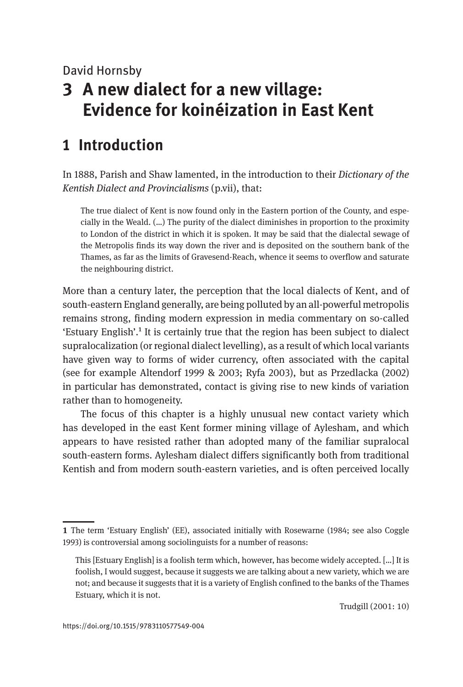David Hornsby

## **3 A new dialect for a new village: Evidence for koinéization in East Kent**

## **1 Introduction**

In 1888, Parish and Shaw lamented, in the introduction to their *Dictionary of the Kentish Dialect and Provincialisms* (p.vii), that:

The true dialect of Kent is now found only in the Eastern portion of the County, and especially in the Weald. (…) The purity of the dialect diminishes in proportion to the proximity to London of the district in which it is spoken. It may be said that the dialectal sewage of the Metropolis finds its way down the river and is deposited on the southern bank of the Thames, as far as the limits of Gravesend-Reach, whence it seems to overflow and saturate the neighbouring district.

More than a century later, the perception that the local dialects of Kent, and of south-eastern England generally, are being polluted by an all-powerful metropolis remains strong, finding modern expression in media commentary on so-called 'Estuary English'.1 It is certainly true that the region has been subject to dialect supralocalization (or regional dialect levelling), as a result of which local variants have given way to forms of wider currency, often associated with the capital (see for example Altendorf 1999 & 2003; Ryfa 2003), but as Przedlacka (2002) in particular has demonstrated, contact is giving rise to new kinds of variation rather than to homogeneity.

The focus of this chapter is a highly unusual new contact variety which has developed in the east Kent former mining village of Aylesham, and which appears to have resisted rather than adopted many of the familiar supralocal south- eastern forms. Aylesham dialect differs significantly both from traditional Kentish and from modern south-eastern varieties, and is often perceived locally

**<sup>1</sup>** The term 'Estuary English' (EE), associated initially with Rosewarne (1984; see also Coggle 1993) is controversial among sociolinguists for a number of reasons:

This [Estuary English] is a foolish term which, however, has become widely accepted. […] It is foolish, I would suggest, because it suggests we are talking about a new variety, which we are not; and because it suggests that it is a variety of English confined to the banks of the Thames Estuary, which it is not.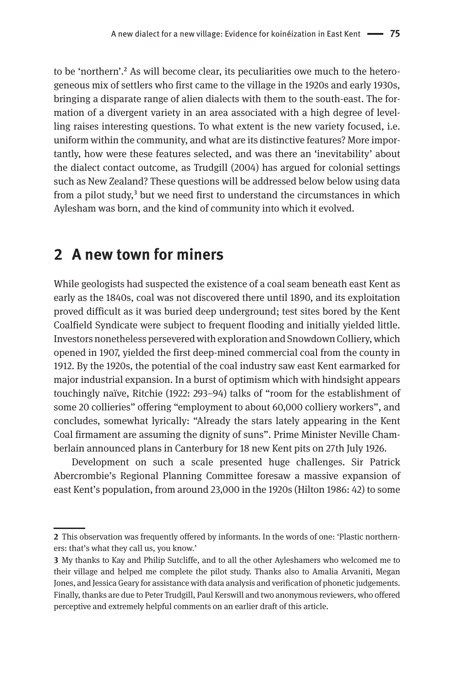to be 'northern'.<sup>2</sup> As will become clear, its peculiarities owe much to the heterogeneous mix of settlers who first came to the village in the 1920s and early 1930s, bringing a disparate range of alien dialects with them to the south-east. The formation of a divergent variety in an area associated with a high degree of levelling raises interesting questions. To what extent is the new variety focused, i.e. uniform within the community, and what are its distinctive features? More importantly, how were these features selected, and was there an 'inevitability' about the dialect contact outcome, as Trudgill (2004) has argued for colonial settings such as New Zealand? These questions will be addressed below below using data from a pilot study, $3$  but we need first to understand the circumstances in which Aylesham was born, and the kind of community into which it evolved.

## **2 A new town for miners**

While geologists had suspected the existence of a coal seam beneath east Kent as early as the 1840s, coal was not discovered there until 1890, and its exploitation proved difficult as it was buried deep underground; test sites bored by the Kent Coalfield Syndicate were subject to frequent flooding and initially yielded little. Investors nonetheless persevered with exploration and Snowdown Colliery, which opened in 1907, yielded the first deep-mined commercial coal from the county in 1912. By the 1920s, the potential of the coal industry saw east Kent earmarked for major industrial expansion. In a burst of optimism which with hindsight appears touchingly naïve, Ritchie (1922: 293–94) talks of "room for the establishment of some 20 collieries" offering "employment to about 60,000 colliery workers", and concludes, somewhat lyrically: "Already the stars lately appearing in the Kent Coal firmament are assuming the dignity of suns". Prime Minister Neville Chamberlain announced plans in Canterbury for 18 new Kent pits on 27th July 1926.

Development on such a scale presented huge challenges. Sir Patrick Abercrombie's Regional Planning Committee foresaw a massive expansion of east Kent's population, from around 23,000 in the 1920s (Hilton 1986: 42) to some

**<sup>2</sup>** This observation was frequently offered by informants. In the words of one: 'Plastic northerners: that's what they call us, you know.'

**<sup>3</sup>** My thanks to Kay and Philip Sutcliffe, and to all the other Ayleshamers who welcomed me to their village and helped me complete the pilot study. Thanks also to Amalia Arvaniti, Megan Jones, and Jessica Geary for assistance with data analysis and verification of phonetic judgements. Finally, thanks are due to Peter Trudgill, Paul Kerswill and two anonymous reviewers, who offered perceptive and extremely helpful comments on an earlier draft of this article.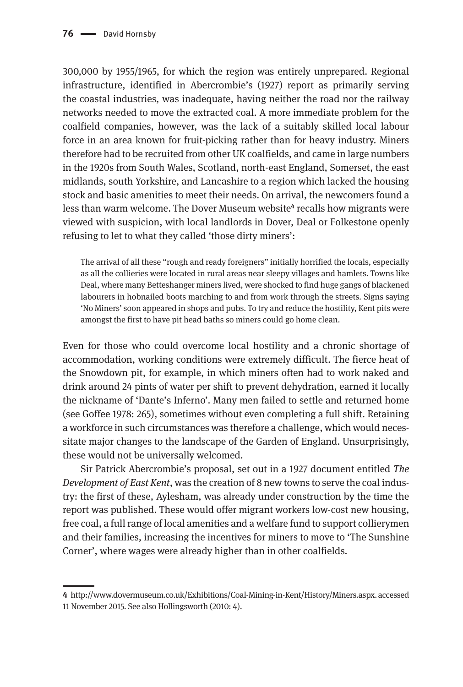300,000 by 1955/1965, for which the region was entirely unprepared. Regional infrastructure, identified in Abercrombie's (1927) report as primarily serving the coastal industries, was inadequate, having neither the road nor the railway networks needed to move the extracted coal. A more immediate problem for the coalfield companies, however, was the lack of a suitably skilled local labour force in an area known for fruit-picking rather than for heavy industry. Miners therefore had to be recruited from other UK coalfields, and came in large numbers in the 1920s from South Wales, Scotland, north-east England, Somerset, the east midlands, south Yorkshire, and Lancashire to a region which lacked the housing stock and basic amenities to meet their needs. On arrival, the newcomers found a less than warm welcome. The Dover Museum website<sup>4</sup> recalls how migrants were viewed with suspicion, with local landlords in Dover, Deal or Folkestone openly refusing to let to what they called 'those dirty miners':

The arrival of all these "rough and ready foreigners" initially horrified the locals, especially as all the collieries were located in rural areas near sleepy villages and hamlets. Towns like Deal, where many Betteshanger miners lived, were shocked to find huge gangs of blackened labourers in hobnailed boots marching to and from work through the streets. Signs saying 'No Miners' soon appeared in shops and pubs. To try and reduce the hostility, Kent pits were amongst the first to have pit head baths so miners could go home clean.

Even for those who could overcome local hostility and a chronic shortage of accommodation, working conditions were extremely difficult. The fierce heat of the Snowdown pit, for example, in which miners often had to work naked and drink around 24 pints of water per shift to prevent dehydration, earned it locally the nickname of 'Dante's Inferno'. Many men failed to settle and returned home (see Goffee 1978: 265), sometimes without even completing a full shift. Retaining a workforce in such circumstances was therefore a challenge, which would necessitate major changes to the landscape of the Garden of England. Unsurprisingly, these would not be universally welcomed.

Sir Patrick Abercrombie's proposal, set out in a 1927 document entitled *The Development of East Kent*, was the creation of 8 new towns to serve the coal industry: the first of these, Aylesham, was already under construction by the time the report was published. These would offer migrant workers low-cost new housing, free coal, a full range of local amenities and a welfare fund to support collierymen and their families, increasing the incentives for miners to move to 'The Sunshine Corner', where wages were already higher than in other coalfields.

**<sup>4</sup>** http://www.dovermuseum.co.uk/Exhibitions/Coal-Mining-in-Kent/History/Miners.aspx. accessed 11 November 2015. See also Hollingsworth (2010: 4).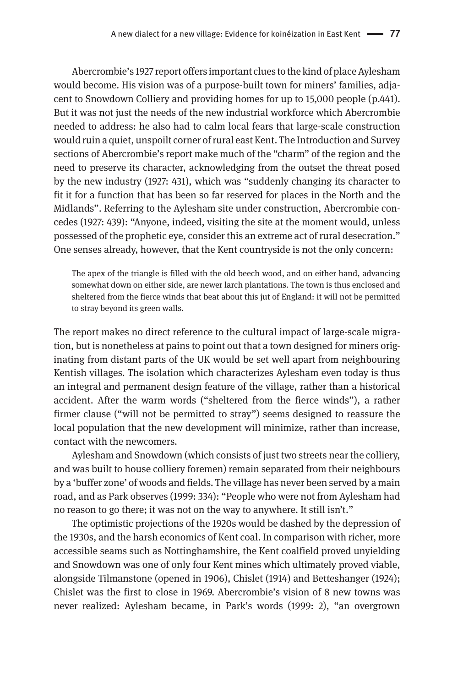Abercrombie's 1927 report offers important clues to the kind of place Aylesham would become. His vision was of a purpose-built town for miners' families, adjacent to Snowdown Colliery and providing homes for up to 15,000 people (p.441). But it was not just the needs of the new industrial workforce which Abercrombie needed to address: he also had to calm local fears that large-scale construction would ruin a quiet, unspoilt corner of rural east Kent. The Introduction and Survey sections of Abercrombie's report make much of the "charm" of the region and the need to preserve its character, acknowledging from the outset the threat posed by the new industry (1927: 431), which was "suddenly changing its character to fit it for a function that has been so far reserved for places in the North and the Midlands". Referring to the Aylesham site under construction, Abercrombie concedes (1927: 439): "Anyone, indeed, visiting the site at the moment would, unless possessed of the prophetic eye, consider this an extreme act of rural desecration." One senses already, however, that the Kent countryside is not the only concern:

The apex of the triangle is filled with the old beech wood, and on either hand, advancing somewhat down on either side, are newer larch plantations. The town is thus enclosed and sheltered from the fierce winds that beat about this jut of England: it will not be permitted to stray beyond its green walls.

The report makes no direct reference to the cultural impact of large-scale migration, but is nonetheless at pains to point out that a town designed for miners originating from distant parts of the UK would be set well apart from neighbouring Kentish villages. The isolation which characterizes Aylesham even today is thus an integral and permanent design feature of the village, rather than a historical accident. After the warm words ("sheltered from the fierce winds"), a rather firmer clause ("will not be permitted to stray") seems designed to reassure the local population that the new development will minimize, rather than increase, contact with the newcomers.

Aylesham and Snowdown (which consists of just two streets near the colliery, and was built to house colliery foremen) remain separated from their neighbours by a 'buffer zone' of woods and fields. The village has never been served by a main road, and as Park observes (1999: 334): "People who were not from Aylesham had no reason to go there; it was not on the way to anywhere. It still isn't."

The optimistic projections of the 1920s would be dashed by the depression of the 1930s, and the harsh economics of Kent coal. In comparison with richer, more accessible seams such as Nottinghamshire, the Kent coalfield proved unyielding and Snowdown was one of only four Kent mines which ultimately proved viable, alongside Tilmanstone (opened in 1906), Chislet (1914) and Betteshanger (1924); Chislet was the first to close in 1969. Abercrombie's vision of 8 new towns was never realized: Aylesham became, in Park's words (1999: 2), "an overgrown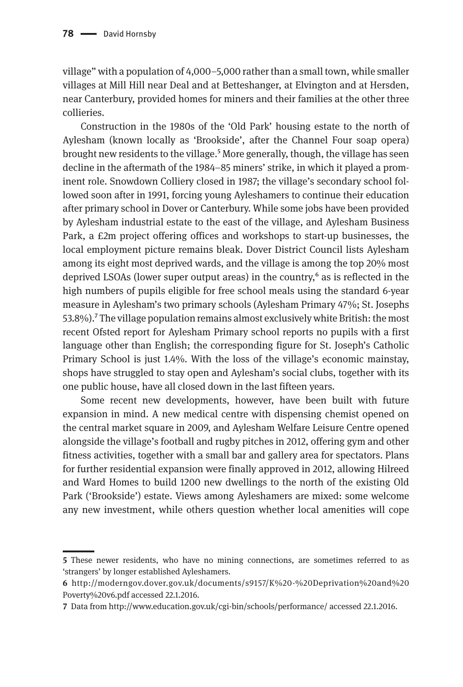village" with a population of 4,000–5,000 rather than a small town, while smaller villages at Mill Hill near Deal and at Betteshanger, at Elvington and at Hersden, near Canterbury, provided homes for miners and their families at the other three collieries.

Construction in the 1980s of the 'Old Park' housing estate to the north of Aylesham (known locally as 'Brookside', after the Channel Four soap opera) brought new residents to the village.5 More generally, though, the village has seen decline in the aftermath of the 1984–85 miners' strike, in which it played a prominent role. Snowdown Colliery closed in 1987; the village's secondary school followed soon after in 1991, forcing young Ayleshamers to continue their education after primary school in Dover or Canterbury. While some jobs have been provided by Aylesham industrial estate to the east of the village, and Aylesham Business Park, a £2m project offering offices and workshops to start-up businesses, the local employment picture remains bleak. Dover District Council lists Aylesham among its eight most deprived wards, and the village is among the top 20% most deprived LSOAs (lower super output areas) in the country, $6$  as is reflected in the high numbers of pupils eligible for free school meals using the standard 6-year measure in Aylesham's two primary schools (Aylesham Primary 47%; St. Josephs 53.8%).7 The village population remains almost exclusively white British: the most recent Ofsted report for Aylesham Primary school reports no pupils with a first language other than English; the corresponding figure for St. Joseph's Catholic Primary School is just 1.4%. With the loss of the village's economic mainstay, shops have struggled to stay open and Aylesham's social clubs, together with its one public house, have all closed down in the last fifteen years.

Some recent new developments, however, have been built with future expansion in mind. A new medical centre with dispensing chemist opened on the central market square in 2009, and Aylesham Welfare Leisure Centre opened alongside the village's football and rugby pitches in 2012, offering gym and other fitness activities, together with a small bar and gallery area for spectators. Plans for further residential expansion were finally approved in 2012, allowing Hilreed and Ward Homes to build 1200 new dwellings to the north of the existing Old Park ('Brookside') estate. Views among Ayleshamers are mixed: some welcome any new investment, while others question whether local amenities will cope

**<sup>5</sup>** These newer residents, who have no mining connections, are sometimes referred to as 'strangers' by longer established Ayleshamers.

**<sup>6</sup>** http://moderngov.dover.gov.uk/documents/s9157/K%20-%20Deprivation%20and%20 Poverty%20v6.pdf accessed 22.1.2016.

**<sup>7</sup>** Data from http://www.education.gov.uk/cgi-bin/schools/performance/ accessed 22.1.2016.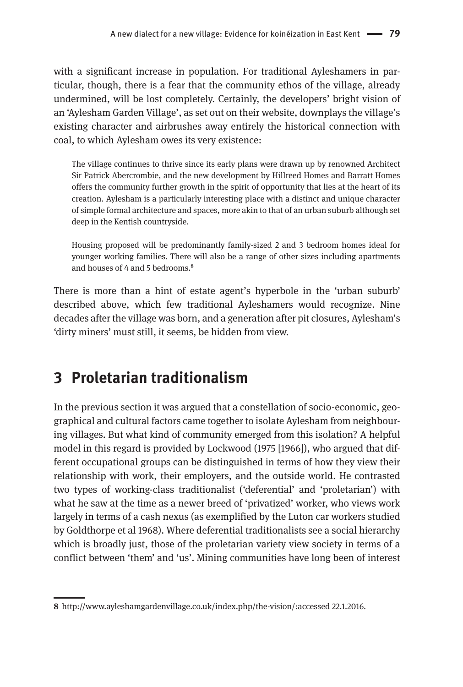with a significant increase in population. For traditional Ayleshamers in particular, though, there is a fear that the community ethos of the village, already undermined, will be lost completely. Certainly, the developers' bright vision of an 'Aylesham Garden Village', as set out on their website, downplays the village's existing character and airbrushes away entirely the historical connection with coal, to which Aylesham owes its very existence:

The village continues to thrive since its early plans were drawn up by renowned Architect Sir Patrick Abercrombie, and the new development by Hillreed Homes and Barratt Homes offers the community further growth in the spirit of opportunity that lies at the heart of its creation. Aylesham is a particularly interesting place with a distinct and unique character of simple formal architecture and spaces, more akin to that of an urban suburb although set deep in the Kentish countryside.

Housing proposed will be predominantly family-sized 2 and 3 bedroom homes ideal for younger working families. There will also be a range of other sizes including apartments and houses of 4 and 5 bedrooms.<sup>8</sup>

There is more than a hint of estate agent's hyperbole in the 'urban suburb' described above, which few traditional Ayleshamers would recognize. Nine decades after the village was born, and a generation after pit closures, Aylesham's 'dirty miners' must still, it seems, be hidden from view.

## **3 Proletarian traditionalism**

In the previous section it was argued that a constellation of socio-economic, geographical and cultural factors came together to isolate Aylesham from neighbouring villages. But what kind of community emerged from this isolation? A helpful model in this regard is provided by Lockwood (1975 [1966]), who argued that different occupational groups can be distinguished in terms of how they view their relationship with work, their employers, and the outside world. He contrasted two types of working-class traditionalist ('deferential' and 'proletarian') with what he saw at the time as a newer breed of 'privatized' worker, who views work largely in terms of a cash nexus (as exemplified by the Luton car workers studied by Goldthorpe et al 1968). Where deferential traditionalists see a social hierarchy which is broadly just, those of the proletarian variety view society in terms of a conflict between 'them' and 'us'. Mining communities have long been of interest

**<sup>8</sup>** http://www.ayleshamgardenvillage.co.uk/index.php/the-vision/:accessed 22.1.2016.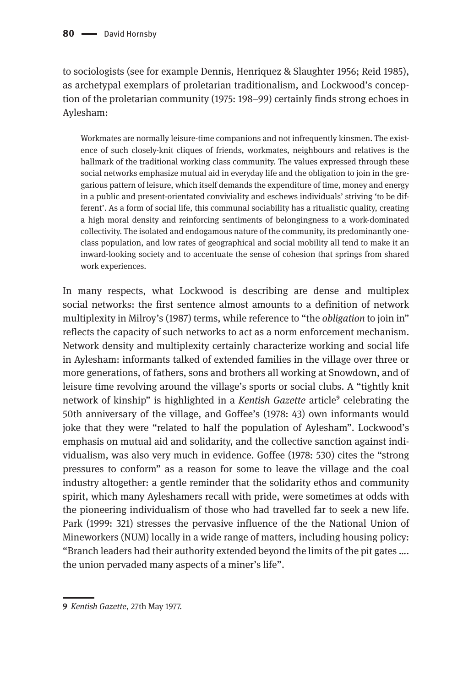to sociologists (see for example Dennis, Henriquez & Slaughter 1956; Reid 1985), as archetypal exemplars of proletarian traditionalism, and Lockwood's conception of the proletarian community (1975: 198–99) certainly finds strong echoes in Aylesham:

Workmates are normally leisure-time companions and not infrequently kinsmen. The existence of such closely-knit cliques of friends, workmates, neighbours and relatives is the hallmark of the traditional working class community. The values expressed through these social networks emphasize mutual aid in everyday life and the obligation to join in the gregarious pattern of leisure, which itself demands the expenditure of time, money and energy in a public and present-orientated conviviality and eschews individuals' striving 'to be different'. As a form of social life, this communal sociability has a ritualistic quality, creating a high moral density and reinforcing sentiments of belongingness to a work- dominated collectivity. The isolated and endogamous nature of the community, its predominantly oneclass population, and low rates of geographical and social mobility all tend to make it an inward-looking society and to accentuate the sense of cohesion that springs from shared work experiences.

In many respects, what Lockwood is describing are dense and multiplex social networks: the first sentence almost amounts to a definition of network multiplexity in Milroy's (1987) terms, while reference to "the *obligation* to join in" reflects the capacity of such networks to act as a norm enforcement mechanism. Network density and multiplexity certainly characterize working and social life in Aylesham: informants talked of extended families in the village over three or more generations, of fathers, sons and brothers all working at Snowdown, and of leisure time revolving around the village's sports or social clubs. A "tightly knit network of kinship" is highlighted in a *Kentish Gazette* article9 celebrating the 50th anniversary of the village, and Goffee's (1978: 43) own informants would joke that they were "related to half the population of Aylesham". Lockwood's emphasis on mutual aid and solidarity, and the collective sanction against individualism, was also very much in evidence. Goffee (1978: 530) cites the "strong pressures to conform" as a reason for some to leave the village and the coal industry altogether: a gentle reminder that the solidarity ethos and community spirit, which many Ayleshamers recall with pride, were sometimes at odds with the pioneering individualism of those who had travelled far to seek a new life. Park (1999: 321) stresses the pervasive influence of the the National Union of Mineworkers (NUM) locally in a wide range of matters, including housing policy: "Branch leaders had their authority extended beyond the limits of the pit gates …. the union pervaded many aspects of a miner's life".

**<sup>9</sup>** *Kentish Gazette*, 27th May 1977.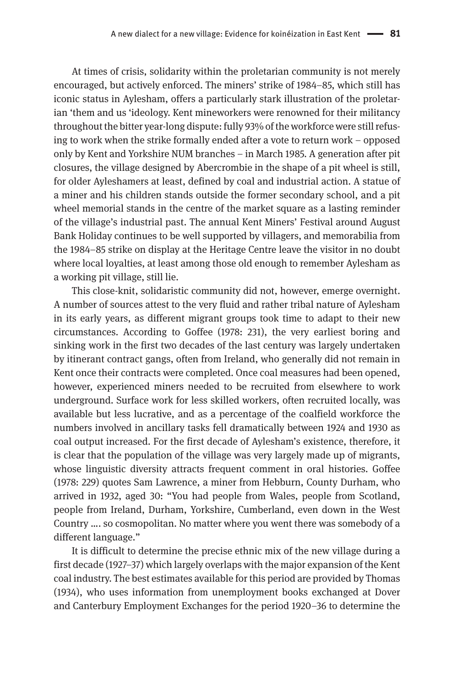At times of crisis, solidarity within the proletarian community is not merely encouraged, but actively enforced. The miners' strike of 1984–85, which still has iconic status in Aylesham, offers a particularly stark illustration of the proletarian 'them and us 'ideology. Kent mineworkers were renowned for their militancy throughout the bitter year-long dispute: fully 93% of the workforce were still refusing to work when the strike formally ended after a vote to return work – opposed only by Kent and Yorkshire NUM branches – in March 1985. A generation after pit closures, the village designed by Abercrombie in the shape of a pit wheel is still, for older Ayleshamers at least, defined by coal and industrial action. A statue of a miner and his children stands outside the former secondary school, and a pit wheel memorial stands in the centre of the market square as a lasting reminder of the village's industrial past. The annual Kent Miners' Festival around August Bank Holiday continues to be well supported by villagers, and memorabilia from the 1984–85 strike on display at the Heritage Centre leave the visitor in no doubt where local loyalties, at least among those old enough to remember Aylesham as a working pit village, still lie.

This close-knit, solidaristic community did not, however, emerge overnight. A number of sources attest to the very fluid and rather tribal nature of Aylesham in its early years, as different migrant groups took time to adapt to their new circumstances. According to Goffee (1978: 231), the very earliest boring and sinking work in the first two decades of the last century was largely undertaken by itinerant contract gangs, often from Ireland, who generally did not remain in Kent once their contracts were completed. Once coal measures had been opened, however, experienced miners needed to be recruited from elsewhere to work underground. Surface work for less skilled workers, often recruited locally, was available but less lucrative, and as a percentage of the coalfield workforce the numbers involved in ancillary tasks fell dramatically between 1924 and 1930 as coal output increased. For the first decade of Aylesham's existence, therefore, it is clear that the population of the village was very largely made up of migrants, whose linguistic diversity attracts frequent comment in oral histories. Goffee (1978: 229) quotes Sam Lawrence, a miner from Hebburn, County Durham, who arrived in 1932, aged 30: "You had people from Wales, people from Scotland, people from Ireland, Durham, Yorkshire, Cumberland, even down in the West Country …. so cosmopolitan. No matter where you went there was somebody of a different language."

It is difficult to determine the precise ethnic mix of the new village during a first decade (1927–37) which largely overlaps with the major expansion of the Kent coal industry. The best estimates available for this period are provided by Thomas (1934), who uses information from unemployment books exchanged at Dover and Canterbury Employment Exchanges for the period 1920–36 to determine the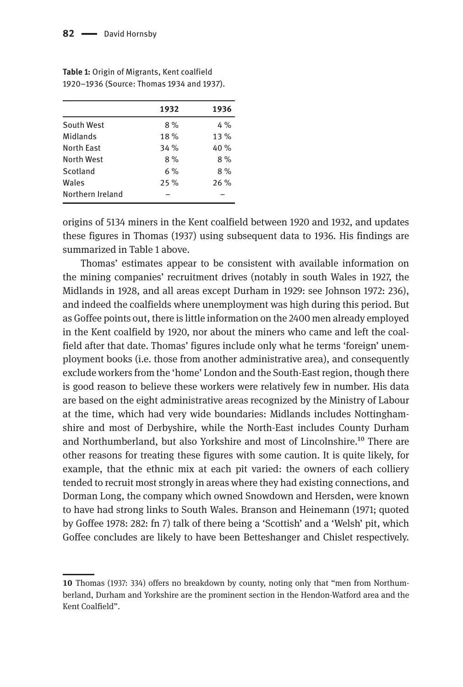|                   | 1932 | 1936  |
|-------------------|------|-------|
| South West        | 8%   | $4\%$ |
| Midlands          | 18%  | 13%   |
| <b>North East</b> | 34%  | 40%   |
| <b>North West</b> | 8%   | 8%    |
| Scotland          | 6%   | 8%    |
| Wales             | 25%  | 26%   |
| Northern Ireland  |      |       |

**Table 1:** Origin of Migrants, Kent coalfield 1920–1936 (Source: Thomas 1934 and 1937).

origins of 5134 miners in the Kent coalfield between 1920 and 1932, and updates these figures in Thomas (1937) using subsequent data to 1936. His findings are summarized in Table 1 above.

Thomas' estimates appear to be consistent with available information on the mining companies' recruitment drives (notably in south Wales in 1927, the Midlands in 1928, and all areas except Durham in 1929: see Johnson 1972: 236), and indeed the coalfields where unemployment was high during this period. But as Goffee points out, there is little information on the 2400 men already employed in the Kent coalfield by 1920, nor about the miners who came and left the coalfield after that date. Thomas' figures include only what he terms 'foreign' unemployment books (i.e. those from another administrative area), and consequently exclude workers from the 'home' London and the South-East region, though there is good reason to believe these workers were relatively few in number. His data are based on the eight administrative areas recognized by the Ministry of Labour at the time, which had very wide boundaries: Midlands includes Nottinghamshire and most of Derbyshire, while the North-East includes County Durham and Northumberland, but also Yorkshire and most of Lincolnshire.10 There are other reasons for treating these figures with some caution. It is quite likely, for example, that the ethnic mix at each pit varied: the owners of each colliery tended to recruit most strongly in areas where they had existing connections, and Dorman Long, the company which owned Snowdown and Hersden, were known to have had strong links to South Wales. Branson and Heinemann (1971; quoted by Goffee 1978: 282: fn 7) talk of there being a 'Scottish' and a 'Welsh' pit, which Goffee concludes are likely to have been Betteshanger and Chislet respectively.

**<sup>10</sup>** Thomas (1937: 334) offers no breakdown by county, noting only that "men from Northumberland, Durham and Yorkshire are the prominent section in the Hendon-Watford area and the Kent Coalfield".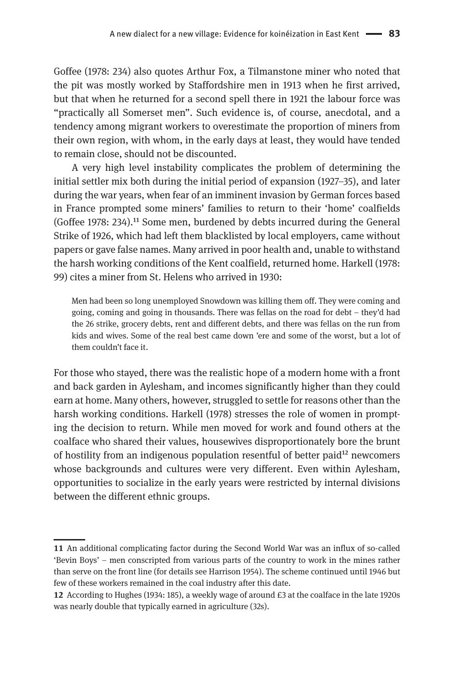Goffee (1978: 234) also quotes Arthur Fox, a Tilmanstone miner who noted that the pit was mostly worked by Staffordshire men in 1913 when he first arrived, but that when he returned for a second spell there in 1921 the labour force was "practically all Somerset men". Such evidence is, of course, anecdotal, and a tendency among migrant workers to overestimate the proportion of miners from their own region, with whom, in the early days at least, they would have tended to remain close, should not be discounted.

A very high level instability complicates the problem of determining the initial settler mix both during the initial period of expansion (1927–35), and later during the war years, when fear of an imminent invasion by German forces based in France prompted some miners' families to return to their 'home' coalfields (Goffee 1978: 234).11 Some men, burdened by debts incurred during the General Strike of 1926, which had left them blacklisted by local employers, came without papers or gave false names. Many arrived in poor health and, unable to withstand the harsh working conditions of the Kent coalfield, returned home. Harkell (1978: 99) cites a miner from St. Helens who arrived in 1930:

Men had been so long unemployed Snowdown was killing them off. They were coming and going, coming and going in thousands. There was fellas on the road for debt – they'd had the 26 strike, grocery debts, rent and different debts, and there was fellas on the run from kids and wives. Some of the real best came down 'ere and some of the worst, but a lot of them couldn't face it.

For those who stayed, there was the realistic hope of a modern home with a front and back garden in Aylesham, and incomes significantly higher than they could earn at home. Many others, however, struggled to settle for reasons other than the harsh working conditions. Harkell (1978) stresses the role of women in prompting the decision to return. While men moved for work and found others at the coalface who shared their values, housewives disproportionately bore the brunt of hostility from an indigenous population resentful of better  $paid<sup>12</sup>$  newcomers whose backgrounds and cultures were very different. Even within Aylesham, opportunities to socialize in the early years were restricted by internal divisions between the different ethnic groups.

**<sup>11</sup>** An additional complicating factor during the Second World War was an influx of so-called 'Bevin Boys' – men conscripted from various parts of the country to work in the mines rather than serve on the front line (for details see Harrison 1954). The scheme continued until 1946 but few of these workers remained in the coal industry after this date.

**<sup>12</sup>** According to Hughes (1934: 185), a weekly wage of around £3 at the coalface in the late 1920s was nearly double that typically earned in agriculture (32s).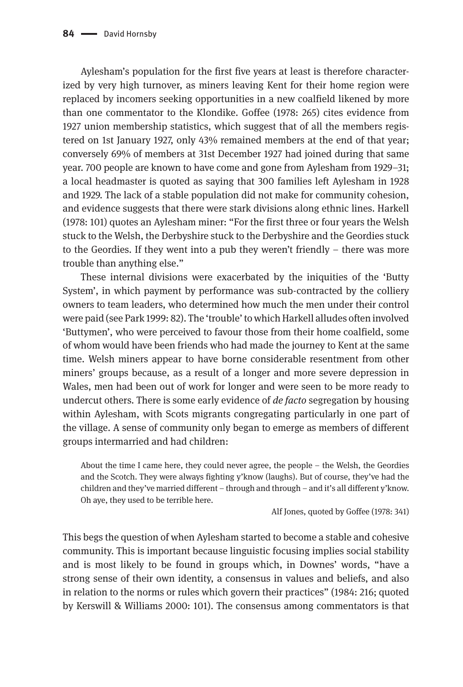Aylesham's population for the first five years at least is therefore characterized by very high turnover, as miners leaving Kent for their home region were replaced by incomers seeking opportunities in a new coalfield likened by more than one commentator to the Klondike. Goffee (1978: 265) cites evidence from 1927 union membership statistics, which suggest that of all the members registered on 1st January 1927, only 43% remained members at the end of that year; conversely 69% of members at 31st December 1927 had joined during that same year. 700 people are known to have come and gone from Aylesham from 1929–31; a local headmaster is quoted as saying that 300 families left Aylesham in 1928 and 1929. The lack of a stable population did not make for community cohesion, and evidence suggests that there were stark divisions along ethnic lines. Harkell (1978: 101) quotes an Aylesham miner: "For the first three or four years the Welsh stuck to the Welsh, the Derbyshire stuck to the Derbyshire and the Geordies stuck to the Geordies. If they went into a pub they weren't friendly – there was more trouble than anything else."

These internal divisions were exacerbated by the iniquities of the 'Butty System', in which payment by performance was sub-contracted by the colliery owners to team leaders, who determined how much the men under their control were paid (see Park 1999: 82). The 'trouble' to which Harkell alludes often involved 'Buttymen', who were perceived to favour those from their home coalfield, some of whom would have been friends who had made the journey to Kent at the same time. Welsh miners appear to have borne considerable resentment from other miners' groups because, as a result of a longer and more severe depression in Wales, men had been out of work for longer and were seen to be more ready to undercut others. There is some early evidence of *de facto* segregation by housing within Aylesham, with Scots migrants congregating particularly in one part of the village. A sense of community only began to emerge as members of different groups intermarried and had children:

About the time I came here, they could never agree, the people – the Welsh, the Geordies and the Scotch. They were always fighting y'know (laughs). But of course, they've had the children and they've married different – through and through – and it's all different y'know. Oh aye, they used to be terrible here.

Alf Jones, quoted by Goffee (1978: 341)

This begs the question of when Aylesham started to become a stable and cohesive community. This is important because linguistic focusing implies social stability and is most likely to be found in groups which, in Downes' words, "have a strong sense of their own identity, a consensus in values and beliefs, and also in relation to the norms or rules which govern their practices" (1984: 216; quoted by Kerswill & Williams 2000: 101). The consensus among commentators is that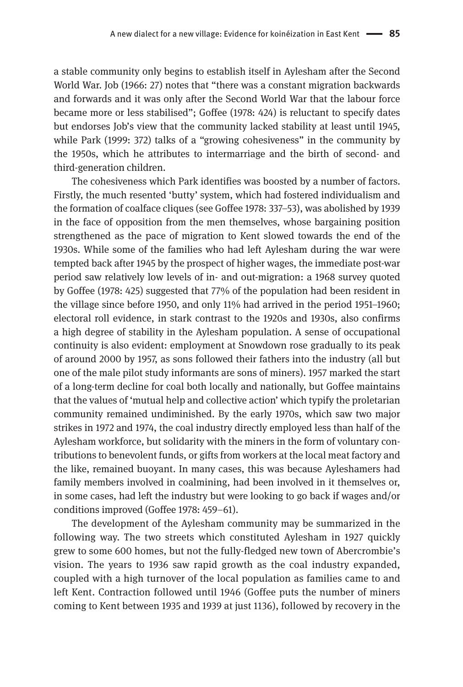a stable community only begins to establish itself in Aylesham after the Second World War. Job (1966: 27) notes that "there was a constant migration backwards and forwards and it was only after the Second World War that the labour force became more or less stabilised"; Goffee (1978: 424) is reluctant to specify dates but endorses Job's view that the community lacked stability at least until 1945, while Park (1999: 372) talks of a "growing cohesiveness" in the community by the 1950s, which he attributes to intermarriage and the birth of second- and third-generation children.

The cohesiveness which Park identifies was boosted by a number of factors. Firstly, the much resented 'butty' system, which had fostered individualism and the formation of coalface cliques (see Goffee 1978: 337–53), was abolished by 1939 in the face of opposition from the men themselves, whose bargaining position strengthened as the pace of migration to Kent slowed towards the end of the 1930s. While some of the families who had left Aylesham during the war were tempted back after 1945 by the prospect of higher wages, the immediate post-war period saw relatively low levels of in- and out-migration: a 1968 survey quoted by Goffee (1978: 425) suggested that 77% of the population had been resident in the village since before 1950, and only 11% had arrived in the period 1951–1960; electoral roll evidence, in stark contrast to the 1920s and 1930s, also confirms a high degree of stability in the Aylesham population. A sense of occupational continuity is also evident: employment at Snowdown rose gradually to its peak of around 2000 by 1957, as sons followed their fathers into the industry (all but one of the male pilot study informants are sons of miners). 1957 marked the start of a long-term decline for coal both locally and nationally, but Goffee maintains that the values of 'mutual help and collective action' which typify the proletarian community remained undiminished. By the early 1970s, which saw two major strikes in 1972 and 1974, the coal industry directly employed less than half of the Aylesham workforce, but solidarity with the miners in the form of voluntary contributions to benevolent funds, or gifts from workers at the local meat factory and the like, remained buoyant. In many cases, this was because Ayleshamers had family members involved in coalmining, had been involved in it themselves or, in some cases, had left the industry but were looking to go back if wages and/or conditions improved (Goffee 1978: 459–61).

The development of the Aylesham community may be summarized in the following way. The two streets which constituted Aylesham in 1927 quickly grew to some 600 homes, but not the fully-fledged new town of Abercrombie's vision. The years to 1936 saw rapid growth as the coal industry expanded, coupled with a high turnover of the local population as families came to and left Kent. Contraction followed until 1946 (Goffee puts the number of miners coming to Kent between 1935 and 1939 at just 1136), followed by recovery in the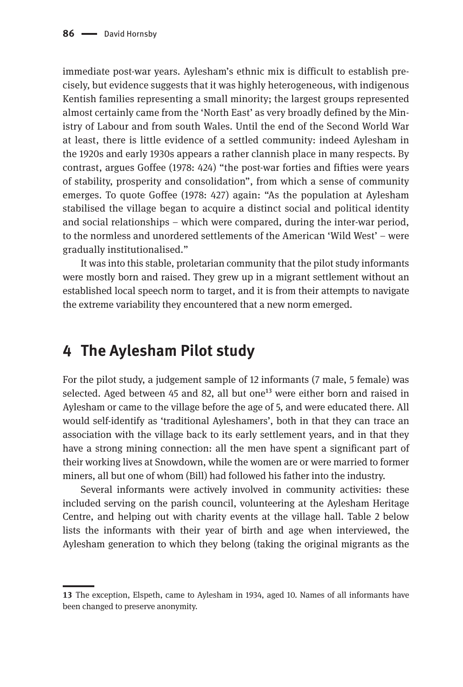immediate post-war years. Aylesham's ethnic mix is difficult to establish precisely, but evidence suggests that it was highly heterogeneous, with indigenous Kentish families representing a small minority; the largest groups represented almost certainly came from the 'North East' as very broadly defined by the Ministry of Labour and from south Wales. Until the end of the Second World War at least, there is little evidence of a settled community: indeed Aylesham in the 1920s and early 1930s appears a rather clannish place in many respects. By contrast, argues Goffee (1978: 424) "the post-war forties and fifties were years of stability, prosperity and consolidation", from which a sense of community emerges. To quote Goffee (1978: 427) again: "As the population at Aylesham stabilised the village began to acquire a distinct social and political identity and social relationships – which were compared, during the inter-war period, to the normless and unordered settlements of the American 'Wild West' – were gradually institutionalised."

It was into this stable, proletarian community that the pilot study informants were mostly born and raised. They grew up in a migrant settlement without an established local speech norm to target, and it is from their attempts to navigate the extreme variability they encountered that a new norm emerged.

## **4 The Aylesham Pilot study**

For the pilot study, a judgement sample of 12 informants (7 male, 5 female) was selected. Aged between 45 and 82, all but one<sup>13</sup> were either born and raised in Aylesham or came to the village before the age of 5, and were educated there. All would self-identify as 'traditional Ayleshamers', both in that they can trace an association with the village back to its early settlement years, and in that they have a strong mining connection: all the men have spent a significant part of their working lives at Snowdown, while the women are or were married to former miners, all but one of whom (Bill) had followed his father into the industry.

Several informants were actively involved in community activities: these included serving on the parish council, volunteering at the Aylesham Heritage Centre, and helping out with charity events at the village hall. Table 2 below lists the informants with their year of birth and age when interviewed, the Aylesham generation to which they belong (taking the original migrants as the

**<sup>13</sup>** The exception, Elspeth, came to Aylesham in 1934, aged 10. Names of all informants have been changed to preserve anonymity.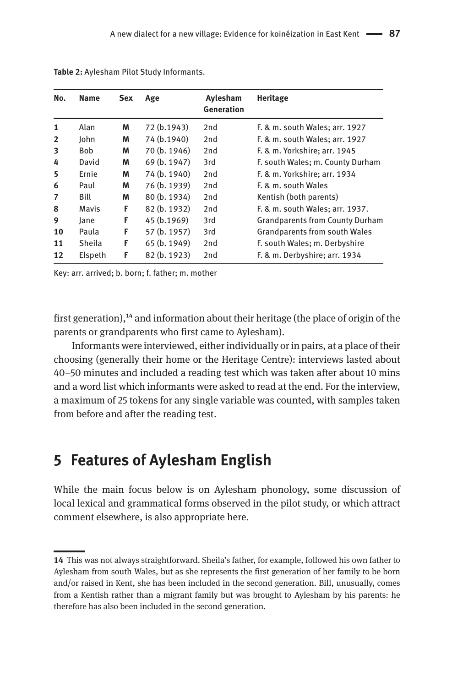| No.            | <b>Name</b> | Sex | Age          | Aylesham<br>Generation | <b>Heritage</b>                        |
|----------------|-------------|-----|--------------|------------------------|----------------------------------------|
| 1              | Alan        | M   | 72 (b.1943)  | 2nd                    | F. & m. south Wales; arr. 1927         |
| $\overline{2}$ | John        | M   | 74 (b.1940)  | 2nd                    | F. & m. south Wales; arr. 1927         |
| 3              | Bob         | M   | 70 (b. 1946) | 2 <sub>nd</sub>        | F. & m. Yorkshire; arr. 1945           |
| 4              | David       | M   | 69 (b. 1947) | 3rd                    | F. south Wales; m. County Durham       |
| 5              | Ernie       | M   | 74 (b. 1940) | 2nd                    | F. & m. Yorkshire; arr. 1934           |
| 6              | Paul        | M   | 76 (b. 1939) | 2nd                    | F. & m. south Wales                    |
| 7              | Bill        | M   | 80 (b. 1934) | 2nd                    | Kentish (both parents)                 |
| 8              | Mavis       | F   | 82 (b. 1932) | 2nd                    | F. & m. south Wales; arr. 1937.        |
| 9              | lane        | F   | 45 (b.1969)  | 3rd                    | <b>Grandparents from County Durham</b> |
| 10             | Paula       | F   | 57 (b. 1957) | 3rd                    | <b>Grandparents from south Wales</b>   |
| 11             | Sheila      | F   | 65 (b. 1949) | 2nd                    | F. south Wales; m. Derbyshire          |
| 12             | Elspeth     | F   | 82 (b. 1923) | 2 <sub>nd</sub>        | F. & m. Derbyshire; arr. 1934          |

**Table 2:** Aylesham Pilot Study Informants.

Key: arr. arrived; b. born; f. father; m. mother

first generation),<sup>14</sup> and information about their heritage (the place of origin of the parents or grandparents who first came to Aylesham).

Informants were interviewed, either individually or in pairs, at a place of their choosing (generally their home or the Heritage Centre): interviews lasted about 40–50 minutes and included a reading test which was taken after about 10 mins and a word list which informants were asked to read at the end. For the interview, a maximum of 25 tokens for any single variable was counted, with samples taken from before and after the reading test.

## **5 Features of Aylesham English**

While the main focus below is on Aylesham phonology, some discussion of local lexical and grammatical forms observed in the pilot study, or which attract comment elsewhere, is also appropriate here.

**<sup>14</sup>** This was not always straightforward. Sheila's father, for example, followed his own father to Aylesham from south Wales, but as she represents the first generation of her family to be born and/or raised in Kent, she has been included in the second generation. Bill, unusually, comes from a Kentish rather than a migrant family but was brought to Aylesham by his parents: he therefore has also been included in the second generation.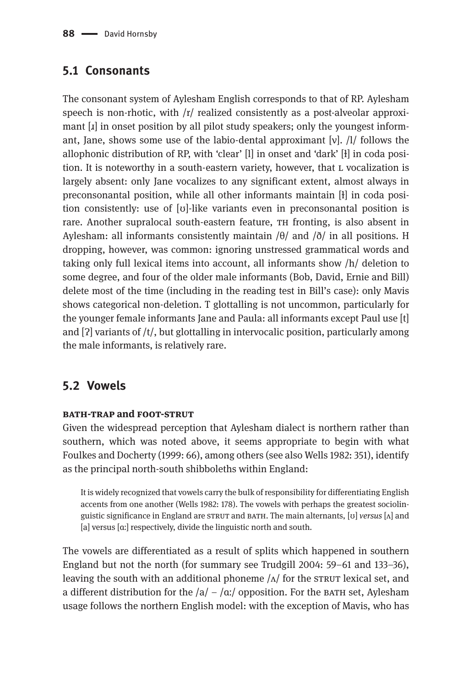#### **5.1 Consonants**

The consonant system of Aylesham English corresponds to that of RP. Aylesham speech is non-rhotic, with /r/ realized consistently as a post-alveolar approximant  $\left[ x \right]$  in onset position by all pilot study speakers; only the youngest informant, Jane, shows some use of the labio-dental approximant  $[v]$ . /l/ follows the allophonic distribution of RP, with 'clear' [l] in onset and 'dark' [ɫ] in coda position. It is noteworthy in a south-eastern variety, however, that l vocalization is largely absent: only Jane vocalizes to any significant extent, almost always in preconsonantal position, while all other informants maintain [ɫ] in coda position consistently: use of [ʊ]-like variants even in preconsonantal position is rare. Another supralocal south-eastern feature, th fronting, is also absent in Aylesham: all informants consistently maintain  $/\theta$  and  $/\delta$  in all positions. H dropping, however, was common: ignoring unstressed grammatical words and taking only full lexical items into account, all informants show /h/ deletion to some degree, and four of the older male informants (Bob, David, Ernie and Bill) delete most of the time (including in the reading test in Bill's case): only Mavis shows categorical non- deletion. T glottalling is not uncommon, particularly for the younger female informants Jane and Paula: all informants except Paul use [t] and  $[2]$  variants of  $/t/$ , but glottalling in intervocalic position, particularly among the male informants, is relatively rare.

#### **5.2 Vowels**

#### **bath-trap and foot-strut**

Given the widespread perception that Aylesham dialect is northern rather than southern, which was noted above, it seems appropriate to begin with what Foulkes and Docherty (1999: 66), among others (see also Wells 1982: 351), identify as the principal north-south shibboleths within England:

It is widely recognized that vowels carry the bulk of responsibility for differentiating English accents from one another (Wells 1982: 178). The vowels with perhaps the greatest sociolinguistic significance in England are STRUT and BATH. The main alternants, [v] *versus* [A] and [a] versus [ɑː] respectively, divide the linguistic north and south.

The vowels are differentiated as a result of splits which happened in southern England but not the north (for summary see Trudgill 2004: 59–61 and 133–36), leaving the south with an additional phoneme  $\Lambda$  for the straut lexical set, and a different distribution for the  $/a$  –  $/\alpha$ ; opposition. For the BATH set, Aylesham usage follows the northern English model: with the exception of Mavis, who has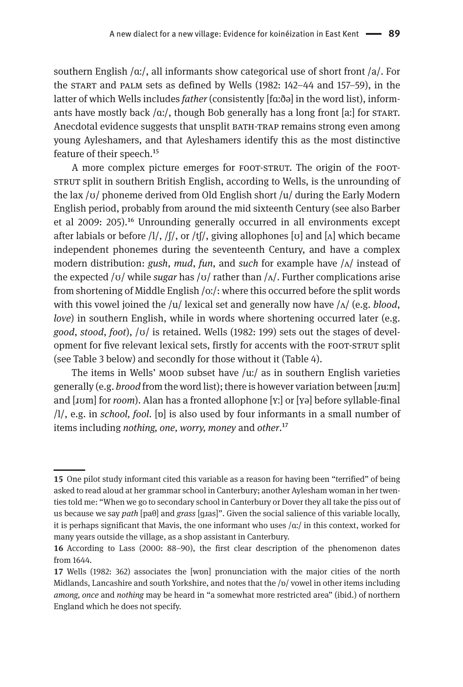southern English  $/\alpha$ . all informants show categorical use of short front  $/\alpha$ . For the start and palm sets as defined by Wells (1982: 142–44 and 157–59), in the latter of which Wells includes *father* (consistently [fɑːðə] in the word list), informants have mostly back  $\alpha$ ., though Bob generally has a long front [a:] for START. Anecdotal evidence suggests that unsplit BATH-TRAP remains strong even among young Ayleshamers, and that Ayleshamers identify this as the most distinctive feature of their speech.<sup>15</sup>

A more complex picture emerges for FOOT-STRUT. The origin of the FOOTstrut split in southern British English, according to Wells, is the unrounding of the lax  $\sqrt{v}$  phoneme derived from Old English short  $\sqrt{u}$  during the Early Modern English period, probably from around the mid sixteenth Century (see also Barber et al 2009: 205).16 Unrounding generally occurred in all environments except after labials or before  $\frac{1}{1}$ ,  $\frac{1}{1}$ , or  $\frac{1}{1}$ , giving allophones  $[v]$  and  $[x]$  which became independent phonemes during the seventeenth Century, and have a complex modern distribution: *gush*, *mud*, *fun*, and *such* for example have /ʌ/ instead of the expected /ʊ/ while *sugar* has /ʊ/ rather than /ʌ/. Further complications arise from shortening of Middle English /oː/: where this occurred before the split words with this vowel joined the /u/ lexical set and generally now have  $\Lambda$ / (e.g. *blood*, *love*) in southern English, while in words where shortening occurred later (e.g. *good*, *stood*, *foot*), /ʊ/ is retained. Wells (1982: 199) sets out the stages of development for five relevant lexical sets, firstly for accents with the foot-strut split (see Table 3 below) and secondly for those without it (Table 4).

The items in Wells' MOOD subset have  $\langle u \rangle$  as in southern English varieties generally (e.g. *brood* from the word list); there is however variation between [ɹʉːm] and [ɹʊm] for *room*). Alan has a fronted allophone [yː] or [yə] before syllable-final /l/, e.g. in *school, fool*. [ɒ] is also used by four informants in a small number of items including *nothing, one, worry, money* and *other*.17

**<sup>15</sup>** One pilot study informant cited this variable as a reason for having been "terrified" of being asked to read aloud at her grammar school in Canterbury; another Aylesham woman in her twenties told me: "When we go to secondary school in Canterbury or Dover they all take the piss out of us because we say *path* [paθ] and *grass* [gɪas]". Given the social salience of this variable locally, it is perhaps significant that Mavis, the one informant who uses  $\alpha$ ; in this context, worked for many years outside the village, as a shop assistant in Canterbury.

**<sup>16</sup>** According to Lass (2000: 88–90), the first clear description of the phenomenon dates from 1644.

**<sup>17</sup>** Wells (1982: 362) associates the [wɒn] pronunciation with the major cities of the north Midlands, Lancashire and south Yorkshire, and notes that the /ɒ/ vowel in other items including *among, once* and *nothing* may be heard in "a somewhat more restricted area" (ibid.) of northern England which he does not specify.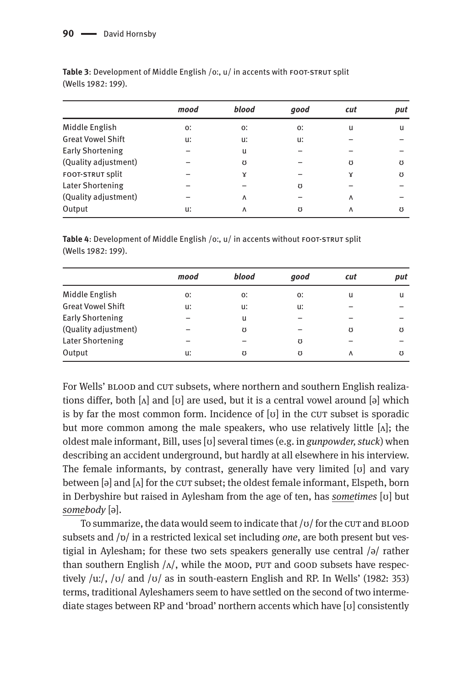|                          | mood | blood | good         | cut | put          |
|--------------------------|------|-------|--------------|-----|--------------|
| Middle English           | 0.   | 0.    | 0.           | u   | u            |
| <b>Great Vowel Shift</b> | u:   | u:    | u:           |     |              |
| <b>Early Shortening</b>  |      | u     |              |     |              |
| (Quality adjustment)     |      | Ω     |              | Ω   | $\mathbf{L}$ |
| FOOT-STRUT Split         |      | γ     |              | γ   | $\mathbf{L}$ |
| <b>Later Shortening</b>  |      |       | $\mathbf{r}$ |     |              |
| (Quality adjustment)     |      | Λ     |              | Λ   |              |
| Output                   | u:   | Λ     | 75           | Λ   | $\mathbf{L}$ |

Table 3: Development of Middle English /o:, u/ in accents with FOOT-STRUT split (Wells 1982: 199).

Table 4: Development of Middle English /o:, u/ in accents without FOOT-STRUT split (Wells 1982: 199).

|                          | mood | blood          | good | cut | put |
|--------------------------|------|----------------|------|-----|-----|
| Middle English           | O.   | O <sub>i</sub> | O.   | u   | u   |
| <b>Great Vowel Shift</b> | u:   | u:             | u:   |     |     |
| <b>Early Shortening</b>  |      | u              |      |     |     |
| (Quality adjustment)     |      | Ω              |      | Ω   | Ω   |
| Later Shortening         |      |                | Ω    |     |     |
| Output                   | u:   | Ω              | Ω    | Λ   | Ω   |

For Wells' blood and cut subsets, where northern and southern English realizations differ, both  $[\Lambda]$  and  $[\sigma]$  are used, but it is a central vowel around  $[\sigma]$  which is by far the most common form. Incidence of  $[v]$  in the cut subset is sporadic but more common among the male speakers, who use relatively little  $[\Lambda]$ ; the oldest male informant, Bill, uses [ʊ] several times (e.g. in *gunpowder, stuck*) when describing an accident underground, but hardly at all elsewhere in his interview. The female informants, by contrast, generally have very limited [ʊ] and vary between  $\lceil a \rceil$  and  $\lceil a \rceil$  for the cut subset; the oldest female informant, Elspeth, born in Derbyshire but raised in Aylesham from the age of ten, has *sometimes* [ʊ] but *somebody* [ə].

To summarize, the data would seem to indicate that  $\sigma$  for the cut and BLOOD subsets and /ɒ/ in a restricted lexical set including *one*, are both present but vestigial in Aylesham; for these two sets speakers generally use central /ə/ rather than southern English  $/\Lambda$ , while the MOOD, PUT and GOOD subsets have respectively /uː/, /ʊ/ and /ʊ/ as in south-eastern English and RP. In Wells' (1982: 353) terms, traditional Ayleshamers seem to have settled on the second of two intermediate stages between RP and 'broad' northern accents which have [ʊ] consistently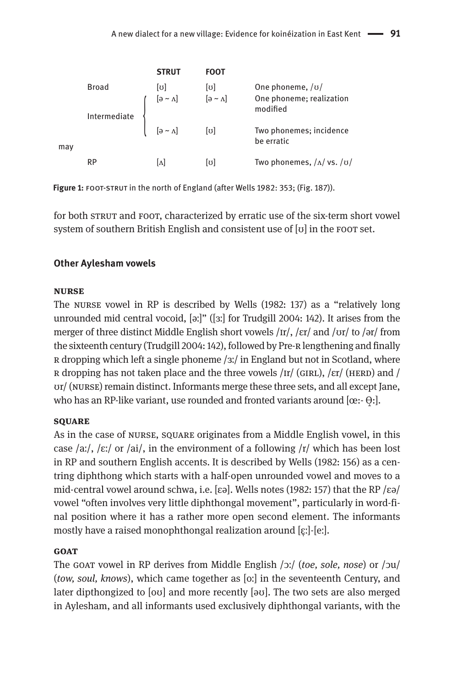|     |                              | <b>STRUT</b>                                                                                                          | <b>FOOT</b> |                                                            |
|-----|------------------------------|-----------------------------------------------------------------------------------------------------------------------|-------------|------------------------------------------------------------|
|     | <b>Broad</b><br>Intermediate | $\begin{bmatrix} 9 \sim \text{V} \\ 1 \end{bmatrix} \qquad \qquad \begin{bmatrix} 9 \sim \text{V} \\ 9 \end{bmatrix}$ |             | One phoneme, $/v/$<br>One phoneme; realization<br>modified |
| may |                              | $[0]$ $[0 - \Lambda]$ $[0]$                                                                                           |             | Two phonemes; incidence<br>be erratic                      |
|     | <b>RP</b>                    | lΔl                                                                                                                   | [ʊ]         | Two phonemes, $/\Lambda$ vs. $/\sigma$                     |

**Figure 1:** foot-strut in the north of England (after Wells 1982: 353; (Fig. 187)).

for both strut and foot, characterized by erratic use of the six-term short vowel system of southern British English and consistent use of  $[v]$  in the FOOT set.

#### **Other Aylesham vowels**

#### **nurse**

The nurse vowel in RP is described by Wells (1982: 137) as a "relatively long unrounded mid central vocoid, [əː]" ([ɜː] for Trudgill 2004: 142). It arises from the merger of three distinct Middle English short vowels /ir/, /ɛr/ and /ʊr/ to /ər/ from the sixteenth century (Trudgill 2004: 142), followed by Pre-r lengthening and finally r dropping which left a single phoneme /ɜː/ in England but not in Scotland, where R dropping has not taken place and the three vowels  $\frac{Irr}{I}$  (GIRL),  $\frac{Icr}{I}$  (HERD) and  $\frac{I}{I}$ ʊr/ (nurse) remain distinct. Informants merge these three sets, and all except Jane, who has an RP-like variant, use rounded and fronted variants around  $[\alpha, \theta, \theta, \theta]$ .

#### **square**

As in the case of nurse, square originates from a Middle English vowel, in this case /a:/, /ɛː/ or /ai/, in the environment of a following /r/ which has been lost in RP and southern English accents. It is described by Wells (1982: 156) as a centring diphthong which starts with a half-open unrounded vowel and moves to a mid-central vowel around schwa, i.e. [ɛə]. Wells notes (1982: 157) that the RP /ɛə/ vowel "often involves very little diphthongal movement", particularly in word-final position where it has a rather more open second element. The informants mostly have a raised monophthongal realization around [ɛ̞:]-[eː].

#### **goat**

The goat vowel in RP derives from Middle English /ͻː/ (*toe, sole, nose*) or /ͻu/ (*tow, soul, knows*), which came together as [oː] in the seventeenth Century, and later dipthongized to [oʊ] and more recently [əʊ]. The two sets are also merged in Aylesham, and all informants used exclusively diphthongal variants, with the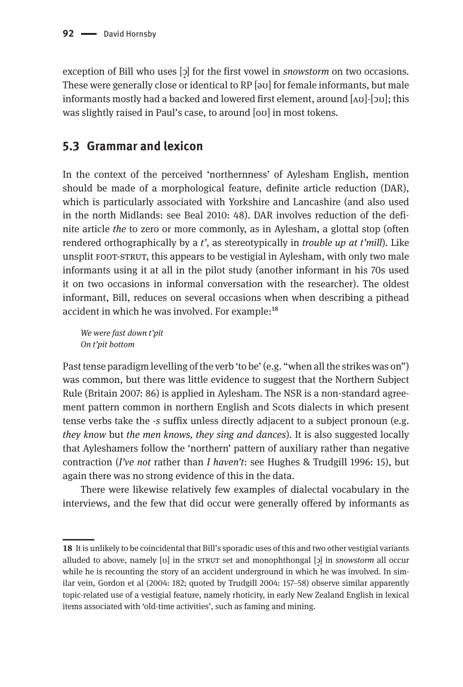exception of Bill who uses [ɔ̞] for the first vowel in *snowstorm* on two occasions. These were generally close or identical to RP [əʊ] for female informants, but male informants mostly had a backed and lowered first element, around  $[\Delta v]$ -[ $\infty$ ]; this was slightly raised in Paul's case, to around [oʊ] in most tokens.

### **5.3 Grammar and lexicon**

In the context of the perceived 'northernness' of Aylesham English, mention should be made of a morphological feature, definite article reduction (DAR), which is particularly associated with Yorkshire and Lancashire (and also used in the north Midlands: see Beal 2010: 48). DAR involves reduction of the definite article *the* to zero or more commonly, as in Aylesham, a glottal stop (often rendered orthographically by a *t'*, as stereotypically in *trouble up at t'mill*). Like unsplit FOOT-STRUT, this appears to be vestigial in Aylesham, with only two male informants using it at all in the pilot study (another informant in his 70s used it on two occasions in informal conversation with the researcher). The oldest informant, Bill, reduces on several occasions when when describing a pithead accident in which he was involved. For example:<sup>18</sup>

*We were fast down t'pit On t'pit bottom*

Past tense paradigm levelling of the verb 'to be' (e.g. "when all the strikes was on") was common, but there was little evidence to suggest that the Northern Subject Rule (Britain 2007: 86) is applied in Aylesham. The NSR is a non-standard agreement pattern common in northern English and Scots dialects in which present tense verbs take the -*s* suffix unless directly adjacent to a subject pronoun (e.g. *they know* but *the men knows, they sing and dances*). It is also suggested locally that Ayleshamers follow the 'northern' pattern of auxiliary rather than negative contraction (*I've not* rather than *I haven't*: see Hughes & Trudgill 1996: 15), but again there was no strong evidence of this in the data.

There were likewise relatively few examples of dialectal vocabulary in the interviews, and the few that did occur were generally offered by informants as

**<sup>18</sup>** It is unlikely to be coincidental that Bill's sporadic uses of this and two other vestigial variants alluded to above, namely [v] in the straut set and monophthongal [ɔ] in *snowstorm* all occur while he is recounting the story of an accident underground in which he was involved. In similar vein, Gordon et al (2004: 182; quoted by Trudgill 2004: 157–58) observe similar apparently topic-related use of a vestigial feature, namely rhoticity, in early New Zealand English in lexical items associated with 'old-time activities', such as faming and mining.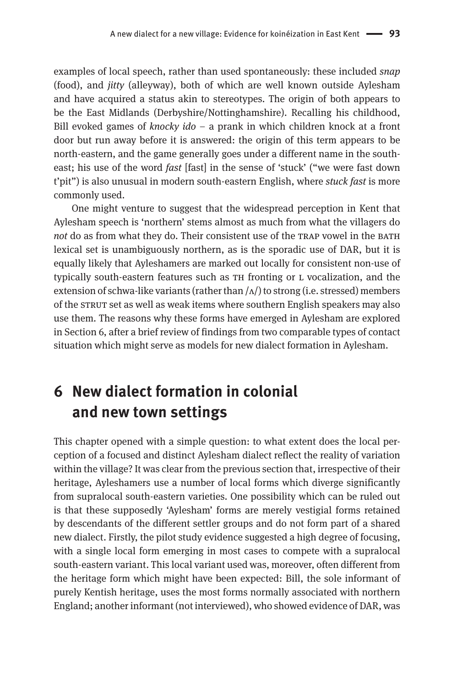examples of local speech, rather than used spontaneously: these included *snap* (food), and *jitty* (alleyway), both of which are well known outside Aylesham and have acquired a status akin to stereotypes. The origin of both appears to be the East Midlands (Derbyshire/Nottinghamshire). Recalling his childhood, Bill evoked games of *knocky ido* – a prank in which children knock at a front door but run away before it is answered: the origin of this term appears to be north- eastern, and the game generally goes under a different name in the southeast; his use of the word *fast* [fast] in the sense of 'stuck' ("we were fast down t'pit") is also unusual in modern south-eastern English, where *stuck fast* is more commonly used.

One might venture to suggest that the widespread perception in Kent that Aylesham speech is 'northern' stems almost as much from what the villagers do *not* do as from what they do. Their consistent use of the TRAP vowel in the BATH lexical set is unambiguously northern, as is the sporadic use of DAR, but it is equally likely that Ayleshamers are marked out locally for consistent non-use of typically south-eastern features such as TH fronting or L vocalization, and the extension of schwa-like variants (rather than  $\Lambda$ ) to strong (i.e. stressed) members of the strut set as well as weak items where southern English speakers may also use them. The reasons why these forms have emerged in Aylesham are explored in Section 6, after a brief review of findings from two comparable types of contact situation which might serve as models for new dialect formation in Aylesham.

## **6 New dialect formation in colonial and new town settings**

This chapter opened with a simple question: to what extent does the local perception of a focused and distinct Aylesham dialect reflect the reality of variation within the village? It was clear from the previous section that, irrespective of their heritage, Ayleshamers use a number of local forms which diverge significantly from supralocal south-eastern varieties. One possibility which can be ruled out is that these supposedly 'Aylesham' forms are merely vestigial forms retained by descendants of the different settler groups and do not form part of a shared new dialect. Firstly, the pilot study evidence suggested a high degree of focusing, with a single local form emerging in most cases to compete with a supralocal south-eastern variant. This local variant used was, moreover, often different from the heritage form which might have been expected: Bill, the sole informant of purely Kentish heritage, uses the most forms normally associated with northern England; another informant (not interviewed), who showed evidence of DAR, was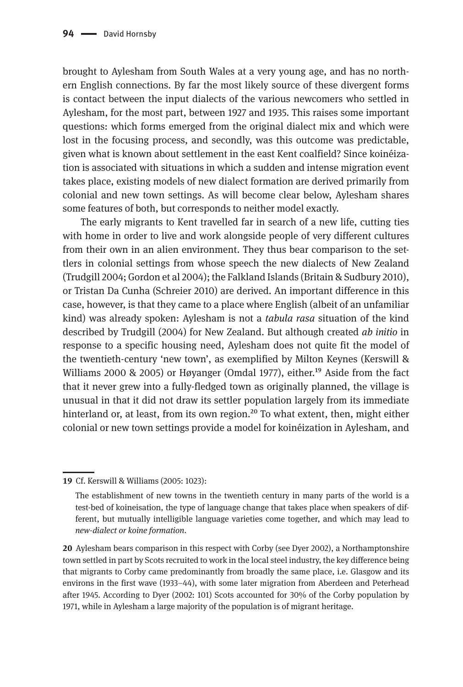brought to Aylesham from South Wales at a very young age, and has no northern English connections. By far the most likely source of these divergent forms is contact between the input dialects of the various newcomers who settled in Aylesham, for the most part, between 1927 and 1935. This raises some important questions: which forms emerged from the original dialect mix and which were lost in the focusing process, and secondly, was this outcome was predictable, given what is known about settlement in the east Kent coalfield? Since koinéization is associated with situations in which a sudden and intense migration event takes place, existing models of new dialect formation are derived primarily from colonial and new town settings. As will become clear below, Aylesham shares some features of both, but corresponds to neither model exactly.

The early migrants to Kent travelled far in search of a new life, cutting ties with home in order to live and work alongside people of very different cultures from their own in an alien environment. They thus bear comparison to the settlers in colonial settings from whose speech the new dialects of New Zealand (Trudgill 2004; Gordon et al 2004); the Falkland Islands (Britain & Sudbury 2010), or Tristan Da Cunha (Schreier 2010) are derived. An important difference in this case, however, is that they came to a place where English (albeit of an unfamiliar kind) was already spoken: Aylesham is not a *tabula rasa* situation of the kind described by Trudgill (2004) for New Zealand. But although created *ab initio* in response to a specific housing need, Aylesham does not quite fit the model of the twentieth-century 'new town', as exemplified by Milton Keynes (Kerswill & Williams 2000 & 2005) or Høyanger (Omdal 1977), either.<sup>19</sup> Aside from the fact that it never grew into a fully-fledged town as originally planned, the village is unusual in that it did not draw its settler population largely from its immediate hinterland or, at least, from its own region.<sup>20</sup> To what extent, then, might either colonial or new town settings provide a model for koinéization in Aylesham, and

**<sup>19</sup>** Cf. Kerswill & Williams (2005: 1023):

The establishment of new towns in the twentieth century in many parts of the world is a test-bed of koineisation, the type of language change that takes place when speakers of different, but mutually intelligible language varieties come together, and which may lead to *new- dialect or koine formation*.

**<sup>20</sup>** Aylesham bears comparison in this respect with Corby (see Dyer 2002), a Northamptonshire town settled in part by Scots recruited to work in the local steel industry, the key difference being that migrants to Corby came predominantly from broadly the same place, i.e. Glasgow and its environs in the first wave (1933–44), with some later migration from Aberdeen and Peterhead after 1945. According to Dyer (2002: 101) Scots accounted for 30% of the Corby population by 1971, while in Aylesham a large majority of the population is of migrant heritage.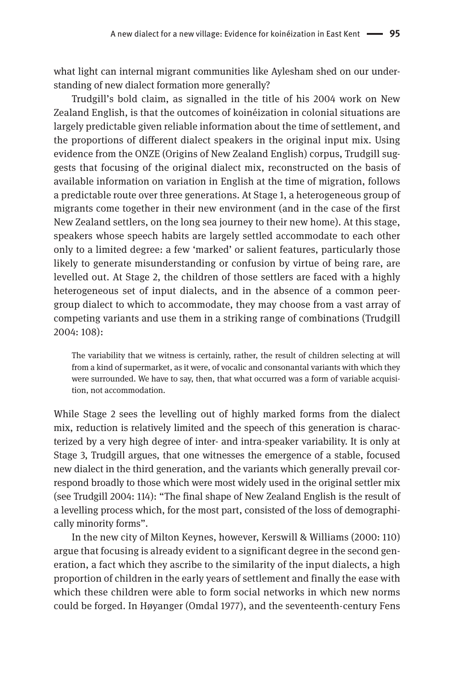what light can internal migrant communities like Aylesham shed on our understanding of new dialect formation more generally?

Trudgill's bold claim, as signalled in the title of his 2004 work on New Zealand English, is that the outcomes of koinéization in colonial situations are largely predictable given reliable information about the time of settlement, and the proportions of different dialect speakers in the original input mix. Using evidence from the ONZE (Origins of New Zealand English) corpus, Trudgill suggests that focusing of the original dialect mix, reconstructed on the basis of available information on variation in English at the time of migration, follows a predictable route over three generations. At Stage 1, a heterogeneous group of migrants come together in their new environment (and in the case of the first New Zealand settlers, on the long sea journey to their new home). At this stage, speakers whose speech habits are largely settled accommodate to each other only to a limited degree: a few 'marked' or salient features, particularly those likely to generate misunderstanding or confusion by virtue of being rare, are levelled out. At Stage 2, the children of those settlers are faced with a highly heterogeneous set of input dialects, and in the absence of a common peergroup dialect to which to accommodate, they may choose from a vast array of competing variants and use them in a striking range of combinations (Trudgill 2004: 108):

The variability that we witness is certainly, rather, the result of children selecting at will from a kind of supermarket, as it were, of vocalic and consonantal variants with which they were surrounded. We have to say, then, that what occurred was a form of variable acquisition, not accommodation.

While Stage 2 sees the levelling out of highly marked forms from the dialect mix, reduction is relatively limited and the speech of this generation is characterized by a very high degree of inter- and intra-speaker variability. It is only at Stage 3, Trudgill argues, that one witnesses the emergence of a stable, focused new dialect in the third generation, and the variants which generally prevail correspond broadly to those which were most widely used in the original settler mix (see Trudgill 2004: 114): "The final shape of New Zealand English is the result of a levelling process which, for the most part, consisted of the loss of demographically minority forms".

In the new city of Milton Keynes, however, Kerswill & Williams (2000: 110) argue that focusing is already evident to a significant degree in the second generation, a fact which they ascribe to the similarity of the input dialects, a high proportion of children in the early years of settlement and finally the ease with which these children were able to form social networks in which new norms could be forged. In Høyanger (Omdal 1977), and the seventeenth-century Fens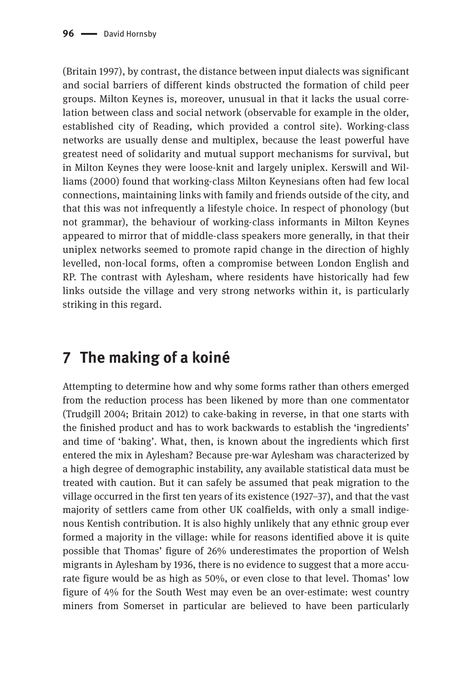(Britain 1997), by contrast, the distance between input dialects was significant and social barriers of different kinds obstructed the formation of child peer groups. Milton Keynes is, moreover, unusual in that it lacks the usual correlation between class and social network (observable for example in the older, established city of Reading, which provided a control site). Working-class networks are usually dense and multiplex, because the least powerful have greatest need of solidarity and mutual support mechanisms for survival, but in Milton Keynes they were loose-knit and largely uniplex. Kerswill and Williams (2000) found that working-class Milton Keynesians often had few local connections, maintaining links with family and friends outside of the city, and that this was not infrequently a lifestyle choice. In respect of phonology (but not grammar), the behaviour of working-class informants in Milton Keynes appeared to mirror that of middle-class speakers more generally, in that their uniplex networks seemed to promote rapid change in the direction of highly levelled, non-local forms, often a compromise between London English and RP. The contrast with Aylesham, where residents have historically had few links outside the village and very strong networks within it, is particularly striking in this regard.

## **7 The making of a koiné**

Attempting to determine how and why some forms rather than others emerged from the reduction process has been likened by more than one commentator (Trudgill 2004; Britain 2012) to cake-baking in reverse, in that one starts with the finished product and has to work backwards to establish the 'ingredients' and time of 'baking'. What, then, is known about the ingredients which first entered the mix in Aylesham? Because pre-war Aylesham was characterized by a high degree of demographic instability, any available statistical data must be treated with caution. But it can safely be assumed that peak migration to the village occurred in the first ten years of its existence (1927–37), and that the vast majority of settlers came from other UK coalfields, with only a small indigenous Kentish contribution. It is also highly unlikely that any ethnic group ever formed a majority in the village: while for reasons identified above it is quite possible that Thomas' figure of 26% underestimates the proportion of Welsh migrants in Aylesham by 1936, there is no evidence to suggest that a more accurate figure would be as high as 50%, or even close to that level. Thomas' low figure of 4% for the South West may even be an over-estimate: west country miners from Somerset in particular are believed to have been particularly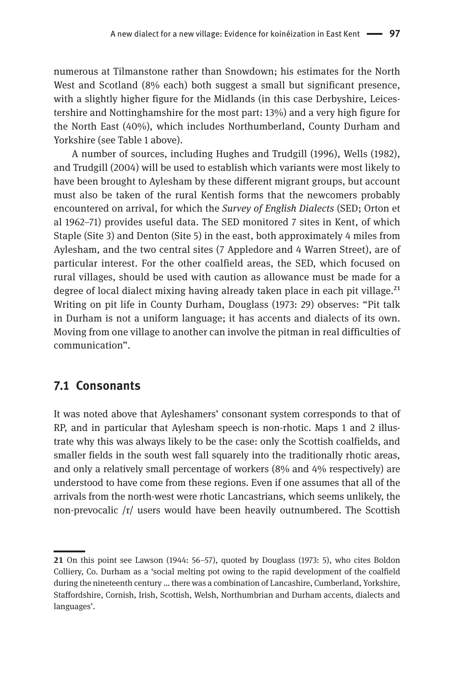numerous at Tilmanstone rather than Snowdown; his estimates for the North West and Scotland (8% each) both suggest a small but significant presence, with a slightly higher figure for the Midlands (in this case Derbyshire, Leicestershire and Nottinghamshire for the most part: 13%) and a very high figure for the North East (40%), which includes Northumberland, County Durham and Yorkshire (see Table 1 above).

A number of sources, including Hughes and Trudgill (1996), Wells (1982), and Trudgill (2004) will be used to establish which variants were most likely to have been brought to Aylesham by these different migrant groups, but account must also be taken of the rural Kentish forms that the newcomers probably encountered on arrival, for which the *Survey of English Dialects* (SED; Orton et al 1962–71) provides useful data. The SED monitored 7 sites in Kent, of which Staple (Site 3) and Denton (Site 5) in the east, both approximately 4 miles from Aylesham, and the two central sites (7 Appledore and 4 Warren Street), are of particular interest. For the other coalfield areas, the SED, which focused on rural villages, should be used with caution as allowance must be made for a degree of local dialect mixing having already taken place in each pit village.<sup>21</sup> Writing on pit life in County Durham, Douglass (1973: 29) observes: "Pit talk in Durham is not a uniform language; it has accents and dialects of its own. Moving from one village to another can involve the pitman in real difficulties of communication".

#### **7.1 Consonants**

It was noted above that Ayleshamers' consonant system corresponds to that of RP, and in particular that Aylesham speech is non-rhotic. Maps 1 and 2 illustrate why this was always likely to be the case: only the Scottish coalfields, and smaller fields in the south west fall squarely into the traditionally rhotic areas, and only a relatively small percentage of workers (8% and 4% respectively) are understood to have come from these regions. Even if one assumes that all of the arrivals from the north-west were rhotic Lancastrians, which seems unlikely, the non- prevocalic /r/ users would have been heavily outnumbered. The Scottish

**<sup>21</sup>** On this point see Lawson (1944: 56–57), quoted by Douglass (1973: 5), who cites Boldon Colliery, Co. Durham as a 'social melting pot owing to the rapid development of the coalfield during the nineteenth century … there was a combination of Lancashire, Cumberland, Yorkshire, Staffordshire, Cornish, Irish, Scottish, Welsh, Northumbrian and Durham accents, dialects and languages'.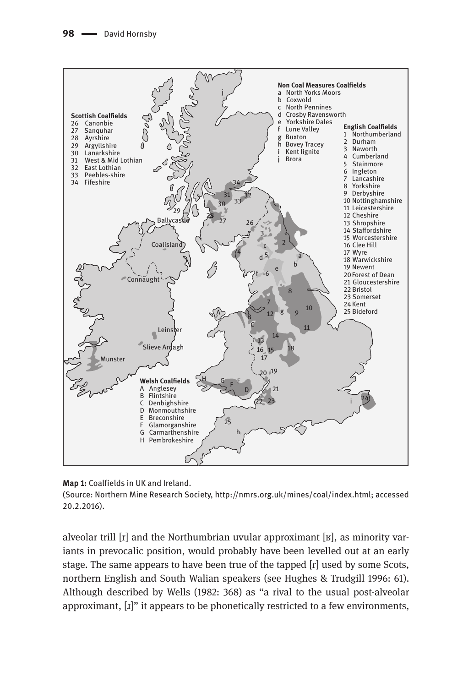



(Source: Northern Mine Research Society, http://nmrs.org.uk/mines/coal/index.html; accessed 20.2.2016).

alveolar trill  $[r]$  and the Northumbrian uvular approximant  $[k]$ , as minority variants in prevocalic position, would probably have been levelled out at an early stage. The same appears to have been true of the tapped  $[r]$  used by some Scots, northern English and South Walian speakers (see Hughes & Trudgill 1996: 61). Although described by Wells (1982: 368) as "a rival to the usual post-alveolar approximant, [ɹ]" it appears to be phonetically restricted to a few environments,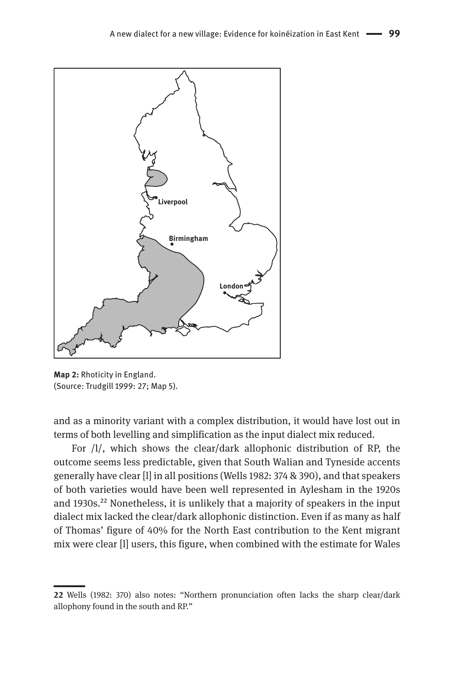

**Map 2:** Rhoticity in England. (Source: Trudgill 1999: 27; Map 5).

and as a minority variant with a complex distribution, it would have lost out in terms of both levelling and simplification as the input dialect mix reduced.

For /l/, which shows the clear/dark allophonic distribution of RP, the outcome seems less predictable, given that South Walian and Tyneside accents generally have clear [l] in all positions (Wells 1982: 374 & 390), and that speakers of both varieties would have been well represented in Aylesham in the 1920s and 1930s.<sup>22</sup> Nonetheless, it is unlikely that a majority of speakers in the input dialect mix lacked the clear/dark allophonic distinction. Even if as many as half of Thomas' figure of 40% for the North East contribution to the Kent migrant mix were clear [l] users, this figure, when combined with the estimate for Wales

**<sup>22</sup>** Wells (1982: 370) also notes: "Northern pronunciation often lacks the sharp clear/dark allophony found in the south and RP."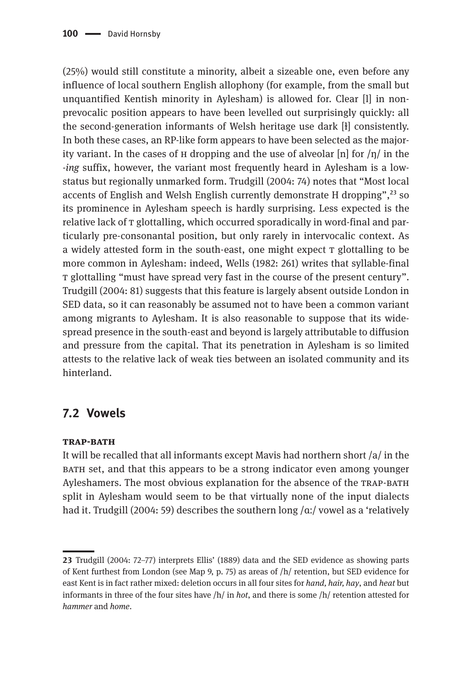(25%) would still constitute a minority, albeit a sizeable one, even before any influence of local southern English allophony (for example, from the small but unquantified Kentish minority in Aylesham) is allowed for. Clear [l] in nonprevocalic position appears to have been levelled out surprisingly quickly: all the second-generation informants of Welsh heritage use dark  $[i]$  consistently. In both these cases, an RP-like form appears to have been selected as the majority variant. In the cases of H dropping and the use of alveolar  $[n]$  for  $\eta$  in the -*ing* suffix, however, the variant most frequently heard in Aylesham is a lowstatus but regionally unmarked form. Trudgill (2004: 74) notes that "Most local accents of English and Welsh English currently demonstrate H dropping", $^{23}$  so its prominence in Aylesham speech is hardly surprising. Less expected is the relative lack of T glottalling, which occurred sporadically in word-final and particularly pre- consonantal position, but only rarely in intervocalic context. As a widely attested form in the south-east, one might expect T glottalling to be more common in Aylesham: indeed, Wells (1982: 261) writes that syllable-final t glottalling "must have spread very fast in the course of the present century". Trudgill (2004: 81) suggests that this feature is largely absent outside London in SED data, so it can reasonably be assumed not to have been a common variant among migrants to Aylesham. It is also reasonable to suppose that its widespread presence in the south-east and beyond is largely attributable to diffusion and pressure from the capital. That its penetration in Aylesham is so limited attests to the relative lack of weak ties between an isolated community and its hinterland.

#### **7.2 Vowels**

#### **trap-bath**

It will be recalled that all informants except Mavis had northern short /a/ in the bath set, and that this appears to be a strong indicator even among younger Ayleshamers. The most obvious explanation for the absence of the TRAP-BATH split in Aylesham would seem to be that virtually none of the input dialects had it. Trudgill (2004: 59) describes the southern long /ɑː/ vowel as a 'relatively

**<sup>23</sup>** Trudgill (2004: 72–77) interprets Ellis' (1889) data and the SED evidence as showing parts of Kent furthest from London (see Map 9, p. 75) as areas of /h/ retention, but SED evidence for east Kent is in fact rather mixed: deletion occurs in all four sites for *hand, hair, hay*, and *heat* but informants in three of the four sites have /h/ in *hot*, and there is some /h/ retention attested for *hammer* and *home*.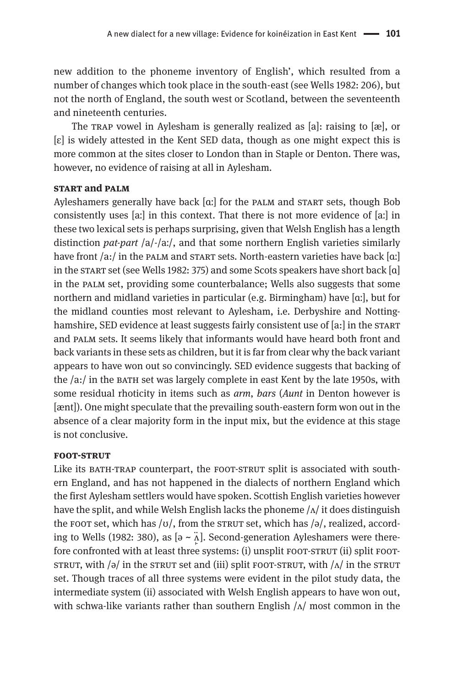new addition to the phoneme inventory of English', which resulted from a number of changes which took place in the south-east (see Wells 1982: 206), but not the north of England, the south west or Scotland, between the seventeenth and nineteenth centuries.

The trap vowel in Aylesham is generally realized as  $[a]$ : raising to  $[a]$ , or [ɛ] is widely attested in the Kent SED data, though as one might expect this is more common at the sites closer to London than in Staple or Denton. There was, however, no evidence of raising at all in Aylesham.

#### **start and palm**

Ayleshamers generally have back  $[\alpha]$  for the PALM and START sets, though Bob consistently uses [aː] in this context. That there is not more evidence of [aː] in these two lexical sets is perhaps surprising, given that Welsh English has a length distinction *pat-part* /a/-/aː/, and that some northern English varieties similarly have front  $\alpha$ :/ in the PALM and START sets. North-eastern varieties have back  $\alpha$ : in the start set (see Wells 1982: 375) and some Scots speakers have short back [ɑ] in the palm set, providing some counterbalance; Wells also suggests that some northern and midland varieties in particular (e.g. Birmingham) have [ɑː], but for the midland counties most relevant to Aylesham, i.e. Derbyshire and Nottinghamshire, SED evidence at least suggests fairly consistent use of  $[a:]$  in the START and palm sets. It seems likely that informants would have heard both front and back variants in these sets as children, but it is far from clear why the back variant appears to have won out so convincingly. SED evidence suggests that backing of the  $\alpha$ :/ in the BATH set was largely complete in east Kent by the late 1950s, with some residual rhoticity in items such as *arm*, *bars* (*Aunt* in Denton however is [ænt]). One might speculate that the prevailing south-eastern form won out in the absence of a clear majority form in the input mix, but the evidence at this stage is not conclusive.

#### **foot-strut**

Like its bath-trap counterpart, the foot-strut split is associated with southern England, and has not happened in the dialects of northern England which the first Aylesham settlers would have spoken. Scottish English varieties however have the split, and while Welsh English lacks the phoneme  $/\Delta t$  it does distinguish the foot set, which has  $/v/$ , from the strut set, which has  $/\partial v/$ , realized, according to Wells (1982: 380), as  $[\frac{1}{2} \times \frac{1}{2}]$ . Second-generation Ayleshamers were therefore confronted with at least three systems: (i) unsplit FOOT-STRUT (ii) split FOOT-STRUT, with  $\frac{1}{9}$  in the STRUT set and (iii) split FOOT-STRUT, with  $\frac{1}{\Lambda}$  in the STRUT set. Though traces of all three systems were evident in the pilot study data, the intermediate system (ii) associated with Welsh English appears to have won out, with schwa-like variants rather than southern English  $/\Lambda$  most common in the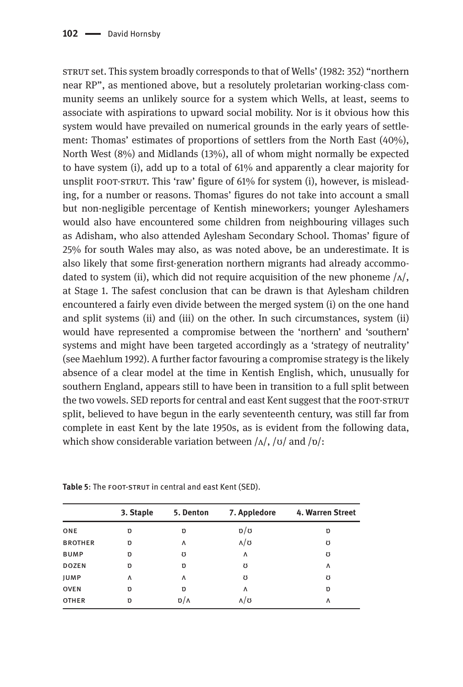strut set. This system broadly corresponds to that of Wells' (1982: 352) "northern near RP", as mentioned above, but a resolutely proletarian working-class community seems an unlikely source for a system which Wells, at least, seems to associate with aspirations to upward social mobility. Nor is it obvious how this system would have prevailed on numerical grounds in the early years of settlement: Thomas' estimates of proportions of settlers from the North East (40%), North West (8%) and Midlands (13%), all of whom might normally be expected to have system (i), add up to a total of 61% and apparently a clear majority for unsplit FOOT-STRUT. This 'raw' figure of  $61\%$  for system (i), however, is misleading, for a number or reasons. Thomas' figures do not take into account a small but non-negligible percentage of Kentish mineworkers; younger Ayleshamers would also have encountered some children from neighbouring villages such as Adisham, who also attended Aylesham Secondary School. Thomas' figure of 25% for south Wales may also, as was noted above, be an underestimate. It is also likely that some first- generation northern migrants had already accommodated to system (ii), which did not require acquisition of the new phoneme  $/\Lambda$ , at Stage 1. The safest conclusion that can be drawn is that Aylesham children encountered a fairly even divide between the merged system (i) on the one hand and split systems (ii) and (iii) on the other. In such circumstances, system (ii) would have represented a compromise between the 'northern' and 'southern' systems and might have been targeted accordingly as a 'strategy of neutrality' (see Maehlum 1992). A further factor favouring a compromise strategy is the likely absence of a clear model at the time in Kentish English, which, unusually for southern England, appears still to have been in transition to a full split between the two vowels. SED reports for central and east Kent suggest that the FOOT-STRUT split, believed to have begun in the early seventeenth century, was still far from complete in east Kent by the late 1950s, as is evident from the following data, which show considerable variation between  $/\Lambda$ ,  $/\sigma$  and  $/\sigma$ :

|                | 3. Staple | 5. Denton   | 7. Appledore     | 4. Warren Street |
|----------------|-----------|-------------|------------------|------------------|
| ONE            | D         | D           | D/U              | D                |
| <b>BROTHER</b> | D         | Λ           | $\Lambda/\sigma$ | Ω                |
| <b>BUMP</b>    | D         | Ω           | Λ                | Ω                |
| <b>DOZEN</b>   | D         | D           | Ω                | Λ                |
| JUMP           | Λ         | Λ           | Ω                | Ω                |
| <b>OVEN</b>    | D         | D           | ٨                | D                |
| <b>OTHER</b>   | D         | $D/\Lambda$ | ៱/ʊ              | Λ                |

Table 5: The FOOT-STRUT in central and east Kent (SED).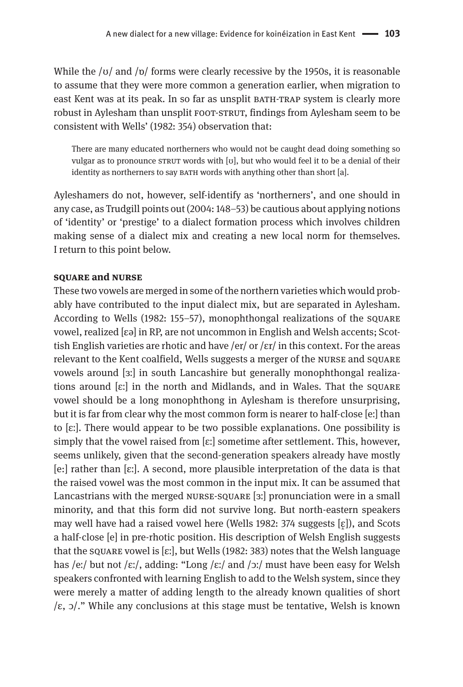While the  $\frac{v}{a}$  and  $\frac{v}{b}$  forms were clearly recessive by the 1950s, it is reasonable to assume that they were more common a generation earlier, when migration to east Kent was at its peak. In so far as unsplit BATH-TRAP system is clearly more robust in Aylesham than unsplit foot-strut, findings from Aylesham seem to be consistent with Wells' (1982: 354) observation that:

There are many educated northerners who would not be caught dead doing something so vulgar as to pronounce strut words with [ʊ], but who would feel it to be a denial of their identity as northerners to say BATH words with anything other than short [a].

Ayleshamers do not, however, self-identify as 'northerners', and one should in any case, as Trudgill points out (2004: 148–53) be cautious about applying notions of 'identity' or 'prestige' to a dialect formation process which involves children making sense of a dialect mix and creating a new local norm for themselves. I return to this point below.

#### **square and nurse**

These two vowels are merged in some of the northern varieties which would probably have contributed to the input dialect mix, but are separated in Aylesham. According to Wells (1982: 155–57), monophthongal realizations of the square vowel, realized [ɛə] in RP, are not uncommon in English and Welsh accents; Scottish English varieties are rhotic and have /er/ or / $\epsilon r$ / in this context. For the areas relevant to the Kent coalfield, Wells suggests a merger of the NURSE and SQUARE vowels around [ɜː] in south Lancashire but generally monophthongal realizations around  $[\epsilon]$  in the north and Midlands, and in Wales. That the square vowel should be a long monophthong in Aylesham is therefore unsurprising, but it is far from clear why the most common form is nearer to half-close [eː] than to  $[\epsilon]$ . There would appear to be two possible explanations. One possibility is simply that the vowel raised from  $[\epsilon]$ : sometime after settlement. This, however, seems unlikely, given that the second-generation speakers already have mostly [e:] rather than [ɛː]. A second, more plausible interpretation of the data is that the raised vowel was the most common in the input mix. It can be assumed that Lancastrians with the merged nurse-square [ɜː] pronunciation were in a small minority, and that this form did not survive long. But north-eastern speakers may well have had a raised vowel here (Wells 1982: 374 suggests  $[\varepsilon]$ ), and Scots a half-close [e] in pre-rhotic position. His description of Welsh English suggests that the square vowel is  $[\epsilon:],$  but Wells (1982: 383) notes that the Welsh language has /eː/ but not /ɛː/, adding: "Long /ɛː/ and /ɔː/ must have been easy for Welsh speakers confronted with learning English to add to the Welsh system, since they were merely a matter of adding length to the already known qualities of short  $\sqrt{\epsilon}$ ,  $\frac{\pi}{2}$ ." While any conclusions at this stage must be tentative, Welsh is known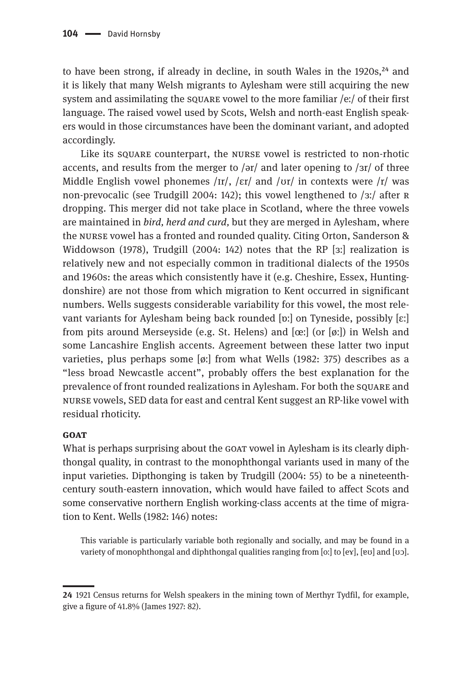to have been strong, if already in decline, in south Wales in the  $1920s<sup>24</sup>$  and it is likely that many Welsh migrants to Aylesham were still acquiring the new system and assimilating the square vowel to the more familiar /eː/ of their first language. The raised vowel used by Scots, Welsh and north-east English speakers would in those circumstances have been the dominant variant, and adopted accordingly.

Like its square counterpart, the nurse vowel is restricted to non-rhotic accents, and results from the merger to /ər/ and later opening to /ɜr/ of three Middle English vowel phonemes / $Irr/$ , / $\epsilon r/$  and / $\sigma r/$  in contexts were /r/ was non-prevocalic (see Trudgill 2004: 142); this vowel lengthened to /ɜː/ after r dropping. This merger did not take place in Scotland, where the three vowels are maintained in *bird, herd and curd,* but they are merged in Aylesham, where the nurse vowel has a fronted and rounded quality. Citing Orton, Sanderson & Widdowson (1978), Trudgill (2004: 142) notes that the RP [ɜː] realization is relatively new and not especially common in traditional dialects of the 1950s and 1960s: the areas which consistently have it (e.g. Cheshire, Essex, Huntingdonshire) are not those from which migration to Kent occurred in significant numbers. Wells suggests considerable variability for this vowel, the most relevant variants for Aylesham being back rounded [ɒː] on Tyneside, possibly [ɛː] from pits around Merseyside (e.g. St. Helens) and  $[\infty]$  (or  $[\varnothing$ :) in Welsh and some Lancashire English accents. Agreement between these latter two input varieties, plus perhaps some [øː] from what Wells (1982: 375) describes as a "less broad Newcastle accent", probably offers the best explanation for the prevalence of front rounded realizations in Aylesham. For both the square and nurse vowels, SED data for east and central Kent suggest an RP-like vowel with residual rhoticity.

#### **goat**

What is perhaps surprising about the GOAT vowel in Aylesham is its clearly diphthongal quality, in contrast to the monophthongal variants used in many of the input varieties. Dipthonging is taken by Trudgill (2004: 55) to be a nineteenthcentury south-eastern innovation, which would have failed to affect Scots and some conservative northern English working-class accents at the time of migration to Kent. Wells (1982: 146) notes:

This variable is particularly variable both regionally and socially, and may be found in a variety of monophthongal and diphthongal qualities ranging from [oː] to [eɤ], [ɐʊ] and [ʊͻ].

**<sup>24</sup>** 1921 Census returns for Welsh speakers in the mining town of Merthyr Tydfil, for example, give a figure of 41.8% (James 1927: 82).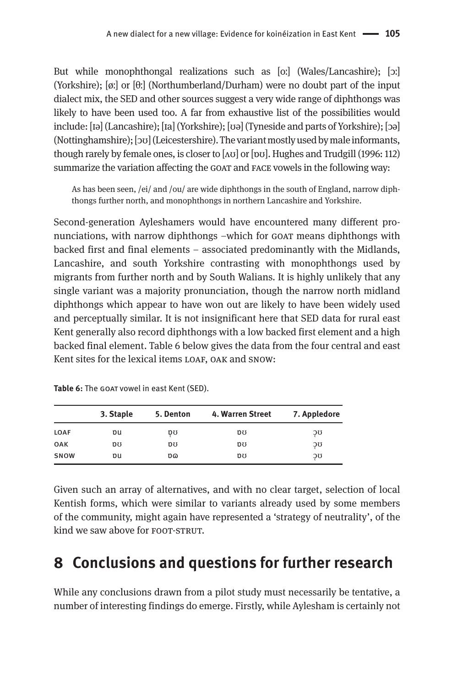But while monophthongal realizations such as [oː] (Wales/Lancashire); [ͻː] (Yorkshire); [øː] or [θː] (Northumberland/Durham) were no doubt part of the input dialect mix, the SED and other sources suggest a very wide range of diphthongs was likely to have been used too. A far from exhaustive list of the possibilities would include: [iə] (Lancashire); [ia] (Yorkshire); [ʊə] (Tyneside and parts of Yorkshire); [ͻə] (Nottinghamshire); [ͻʊ] (Leicestershire). The variant mostly used by male informants, though rarely by female ones, is closer to  $[\Delta x]$  or  $[\Delta x]$ . Hughes and Trudgill (1996: 112) summarize the variation affecting the GOAT and FACE vowels in the following way:

As has been seen, /ei/ and /ou/ are wide diphthongs in the south of England, narrow diphthongs further north, and monophthongs in northern Lancashire and Yorkshire.

Second-generation Ayleshamers would have encountered many different pronunciations, with narrow diphthongs -which for GOAT means diphthongs with backed first and final elements – associated predominantly with the Midlands, Lancashire, and south Yorkshire contrasting with monophthongs used by migrants from further north and by South Walians. It is highly unlikely that any single variant was a majority pronunciation, though the narrow north midland diphthongs which appear to have won out are likely to have been widely used and perceptually similar. It is not insignificant here that SED data for rural east Kent generally also record diphthongs with a low backed first element and a high backed final element. Table 6 below gives the data from the four central and east Kent sites for the lexical items LOAF, OAK and SNOW:

|      | 3. Staple | 5. Denton | 4. Warren Street | 7. Appledore |
|------|-----------|-----------|------------------|--------------|
| LOAF | рu        | ņυ        | Dΰ               | υç           |
| OAK  | Dΰ        | Dΰ        | Dΰ               | ΟÇ           |
| SNOW | рu        | υω        | Dΰ               | υç           |

Table 6: The GOAT vowel in east Kent (SED).

Given such an array of alternatives, and with no clear target, selection of local Kentish forms, which were similar to variants already used by some members of the community, might again have represented a 'strategy of neutrality', of the kind we saw above for FOOT-STRUT.

## **8 Conclusions and questions for further research**

While any conclusions drawn from a pilot study must necessarily be tentative, a number of interesting findings do emerge. Firstly, while Aylesham is certainly not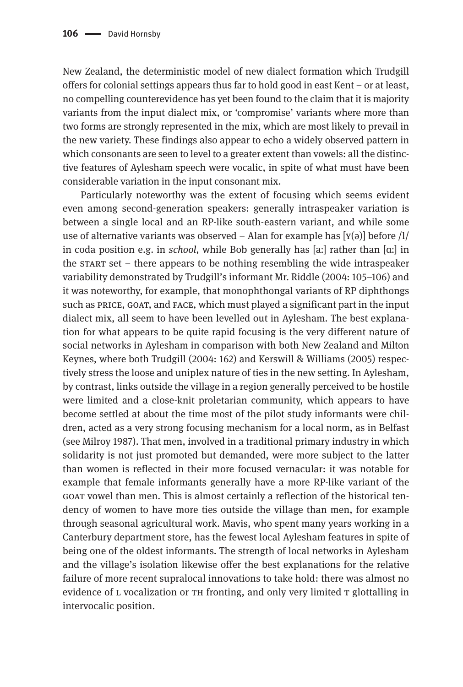New Zealand, the deterministic model of new dialect formation which Trudgill offers for colonial settings appears thus far to hold good in east Kent – or at least, no compelling counterevidence has yet been found to the claim that it is majority variants from the input dialect mix, or 'compromise' variants where more than two forms are strongly represented in the mix, which are most likely to prevail in the new variety. These findings also appear to echo a widely observed pattern in which consonants are seen to level to a greater extent than vowels: all the distinctive features of Aylesham speech were vocalic, in spite of what must have been considerable variation in the input consonant mix.

Particularly noteworthy was the extent of focusing which seems evident even among second-generation speakers: generally intraspeaker variation is between a single local and an RP-like south-eastern variant, and while some use of alternative variants was observed – Alan for example has  $[y(0)]$  before  $/1/$ in coda position e.g. in *school*, while Bob generally has [aː] rather than [ɑː] in the  $START$  set – there appears to be nothing resembling the wide intraspeaker variability demonstrated by Trudgill's informant Mr. Riddle (2004: 105–106) and it was noteworthy, for example, that monophthongal variants of RP diphthongs such as PRICE, GOAT, and FACE, which must played a significant part in the input dialect mix, all seem to have been levelled out in Aylesham. The best explanation for what appears to be quite rapid focusing is the very different nature of social networks in Aylesham in comparison with both New Zealand and Milton Keynes, where both Trudgill (2004: 162) and Kerswill & Williams (2005) respectively stress the loose and uniplex nature of ties in the new setting. In Aylesham, by contrast, links outside the village in a region generally perceived to be hostile were limited and a close-knit proletarian community, which appears to have become settled at about the time most of the pilot study informants were children, acted as a very strong focusing mechanism for a local norm, as in Belfast (see Milroy 1987). That men, involved in a traditional primary industry in which solidarity is not just promoted but demanded, were more subject to the latter than women is reflected in their more focused vernacular: it was notable for example that female informants generally have a more RP-like variant of the goat vowel than men. This is almost certainly a reflection of the historical tendency of women to have more ties outside the village than men, for example through seasonal agricultural work. Mavis, who spent many years working in a Canterbury department store, has the fewest local Aylesham features in spite of being one of the oldest informants. The strength of local networks in Aylesham and the village's isolation likewise offer the best explanations for the relative failure of more recent supralocal innovations to take hold: there was almost no evidence of L vocalization or TH fronting, and only very limited T glottalling in intervocalic position.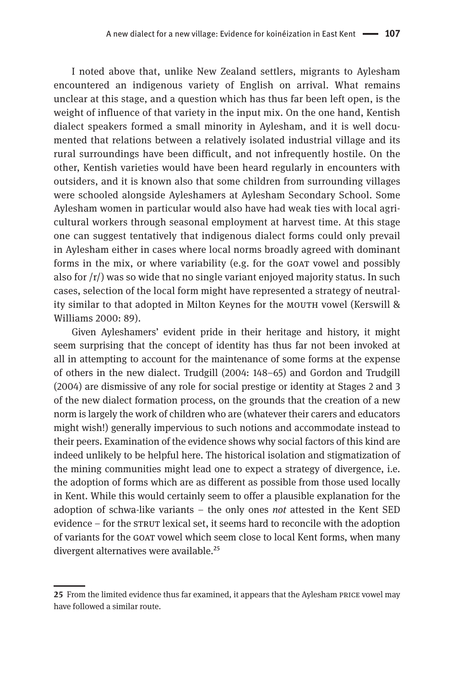I noted above that, unlike New Zealand settlers, migrants to Aylesham encountered an indigenous variety of English on arrival. What remains unclear at this stage, and a question which has thus far been left open, is the weight of influence of that variety in the input mix. On the one hand, Kentish dialect speakers formed a small minority in Aylesham, and it is well documented that relations between a relatively isolated industrial village and its rural surroundings have been difficult, and not infrequently hostile. On the other, Kentish varieties would have been heard regularly in encounters with outsiders, and it is known also that some children from surrounding villages were schooled alongside Ayleshamers at Aylesham Secondary School. Some Aylesham women in particular would also have had weak ties with local agricultural workers through seasonal employment at harvest time. At this stage one can suggest tentatively that indigenous dialect forms could only prevail in Aylesham either in cases where local norms broadly agreed with dominant forms in the mix, or where variability (e.g. for the GOAT vowel and possibly also for  $\langle r \rangle$ ) was so wide that no single variant enjoyed majority status. In such cases, selection of the local form might have represented a strategy of neutrality similar to that adopted in Milton Keynes for the MOUTH vowel (Kerswill & Williams 2000: 89).

Given Ayleshamers' evident pride in their heritage and history, it might seem surprising that the concept of identity has thus far not been invoked at all in attempting to account for the maintenance of some forms at the expense of others in the new dialect. Trudgill (2004: 148–65) and Gordon and Trudgill (2004) are dismissive of any role for social prestige or identity at Stages 2 and 3 of the new dialect formation process, on the grounds that the creation of a new norm is largely the work of children who are (whatever their carers and educators might wish!) generally impervious to such notions and accommodate instead to their peers. Examination of the evidence shows why social factors of this kind are indeed unlikely to be helpful here. The historical isolation and stigmatization of the mining communities might lead one to expect a strategy of divergence, i.e. the adoption of forms which are as different as possible from those used locally in Kent. While this would certainly seem to offer a plausible explanation for the adoption of schwa-like variants – the only ones *not* attested in the Kent SED evidence – for the STRUT lexical set, it seems hard to reconcile with the adoption of variants for the goat vowel which seem close to local Kent forms, when many divergent alternatives were available.<sup>25</sup>

**<sup>25</sup>** From the limited evidence thus far examined, it appears that the Aylesham price vowel may have followed a similar route.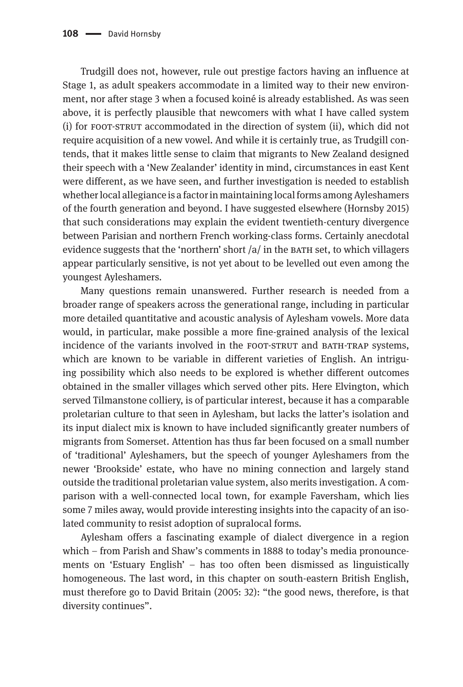Trudgill does not, however, rule out prestige factors having an influence at Stage 1, as adult speakers accommodate in a limited way to their new environment, nor after stage 3 when a focused koiné is already established. As was seen above, it is perfectly plausible that newcomers with what I have called system (i) for foot-strut accommodated in the direction of system (ii), which did not require acquisition of a new vowel. And while it is certainly true, as Trudgill contends, that it makes little sense to claim that migrants to New Zealand designed their speech with a 'New Zealander' identity in mind, circumstances in east Kent were different, as we have seen, and further investigation is needed to establish whether local allegiance is a factor in maintaining local forms among Ayleshamers of the fourth generation and beyond. I have suggested elsewhere (Hornsby 2015) that such considerations may explain the evident twentieth-century divergence between Parisian and northern French working-class forms. Certainly anecdotal evidence suggests that the 'northern' short  $\sqrt{a}$  in the BATH set, to which villagers appear particularly sensitive, is not yet about to be levelled out even among the youngest Ayleshamers.

Many questions remain unanswered. Further research is needed from a broader range of speakers across the generational range, including in particular more detailed quantitative and acoustic analysis of Aylesham vowels. More data would, in particular, make possible a more fine-grained analysis of the lexical incidence of the variants involved in the FOOT-STRUT and BATH-TRAP systems, which are known to be variable in different varieties of English. An intriguing possibility which also needs to be explored is whether different outcomes obtained in the smaller villages which served other pits. Here Elvington, which served Tilmanstone colliery, is of particular interest, because it has a comparable proletarian culture to that seen in Aylesham, but lacks the latter's isolation and its input dialect mix is known to have included significantly greater numbers of migrants from Somerset. Attention has thus far been focused on a small number of 'traditional' Ayleshamers, but the speech of younger Ayleshamers from the newer 'Brookside' estate, who have no mining connection and largely stand outside the traditional proletarian value system, also merits investigation. A comparison with a well-connected local town, for example Faversham, which lies some 7 miles away, would provide interesting insights into the capacity of an isolated community to resist adoption of supralocal forms.

Aylesham offers a fascinating example of dialect divergence in a region which – from Parish and Shaw's comments in 1888 to today's media pronouncements on 'Estuary English' - has too often been dismissed as linguistically homogeneous. The last word, in this chapter on south-eastern British English, must therefore go to David Britain (2005: 32): "the good news, therefore, is that diversity continues".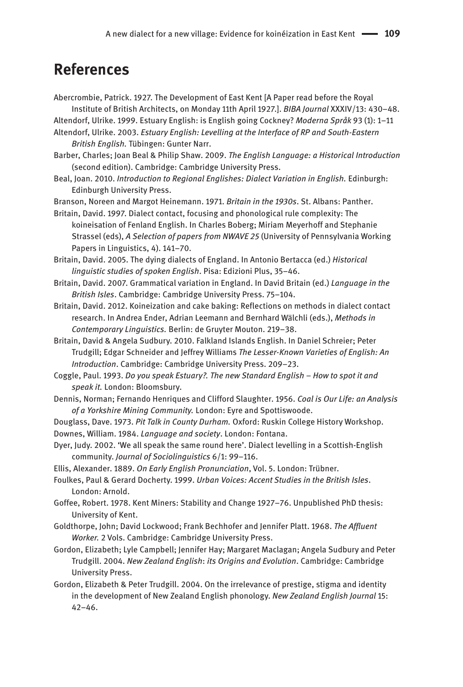## **References**

Abercrombie, Patrick. 1927. The Development of East Kent [A Paper read before the Royal Institute of British Architects, on Monday 11th April 1927.]. *BIBA Journal* XXXIV/13: 430–48.

Altendorf, Ulrike. 1999. Estuary English: is English going Cockney? *Moderna Språk* 93 (1): 1–11

Altendorf, Ulrike. 2003. *Estuary English: Levelling at the Interface of RP and South-Eastern British English.* Tübingen: Gunter Narr.

Barber, Charles; Joan Beal & Philip Shaw. 2009. *The English Language: a Historical Introduction* (second edition). Cambridge: Cambridge University Press.

Beal, Joan. 2010. *Introduction to Regional Englishes: Dialect Variation in English.* Edinburgh: Edinburgh University Press.

Branson, Noreen and Margot Heinemann. 1971. *Britain in the 1930s*. St. Albans: Panther.

Britain, David. 1997. Dialect contact, focusing and phonological rule complexity: The koineisation of Fenland English. In Charles Boberg; Miriam Meyerhoff and Stephanie Strassel (eds), *A Selection of papers from NWAVE 25* (University of Pennsylvania Working Papers in Linguistics, 4). 141–70.

Britain, David. 2005. The dying dialects of England. In Antonio Bertacca (ed.) *Historical linguistic studies of spoken English*. Pisa: Edizioni Plus, 35–46.

Britain, David. 2007. Grammatical variation in England. In David Britain (ed.) *Language in the British Isles*. Cambridge: Cambridge University Press. 75–104.

Britain, David. 2012. Koineization and cake baking: Reflections on methods in dialect contact research. In Andrea Ender, Adrian Leemann and Bernhard Wälchli (eds.), *Methods in Contemporary Linguistics.* Berlin: de Gruyter Mouton. 219–38.

Britain, David & Angela Sudbury. 2010. Falkland Islands English. In Daniel Schreier; Peter Trudgill; Edgar Schneider and Jeffrey Williams *The Lesser-Known Varieties of English: An Introduction*. Cambridge: Cambridge University Press. 209–23.

Coggle, Paul. 1993. *Do you speak Estuary?. The new Standard English – How to spot it and speak it.* London: Bloomsbury.

Dennis, Norman; Fernando Henriques and Clifford Slaughter. 1956. *Coal is Our Life: an Analysis of a Yorkshire Mining Community.* London: Eyre and Spottiswoode.

Douglass, Dave. 1973. *Pit Talk in County Durham.* Oxford: Ruskin College History Workshop. Downes, William. 1984. *Language and society*. London: Fontana.

Dyer, Judy. 2002. 'We all speak the same round here'. Dialect levelling in a Scottish-English community. *Journal of Sociolinguistics* 6/1: 99–116.

Ellis, Alexander. 1889. *On Early English Pronunciation*, Vol. 5. London: Trübner.

Foulkes, Paul & Gerard Docherty. 1999. *Urban Voices: Accent Studies in the British Isles*. London: Arnold.

Goffee, Robert. 1978. Kent Miners: Stability and Change 1927–76. Unpublished PhD thesis: University of Kent.

Goldthorpe, John; David Lockwood; Frank Bechhofer and Jennifer Platt. 1968. *The Affluent Worker.* 2 Vols. Cambridge: Cambridge University Press.

Gordon, Elizabeth; Lyle Campbell; Jennifer Hay; Margaret Maclagan; Angela Sudbury and Peter Trudgill. 2004. *New Zealand English*: *its Origins and Evolution*. Cambridge: Cambridge University Press.

Gordon, Elizabeth & Peter Trudgill. 2004. On the irrelevance of prestige, stigma and identity in the development of New Zealand English phonology. *New Zealand English Journal* 15: 42–46.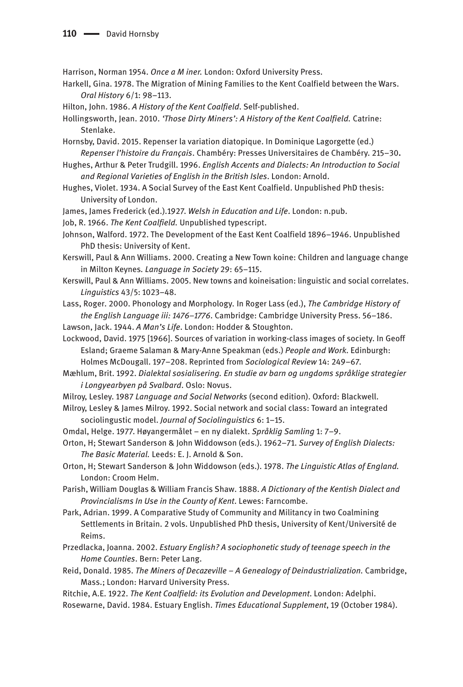Harrison, Norman 1954. *Once a M iner.* London: Oxford University Press.

- Harkell, Gina. 1978. The Migration of Mining Families to the Kent Coalfield between the Wars. *Oral History* 6/1: 98–113.
- Hilton, John. 1986. *A History of the Kent Coalfield*. Self-published.
- Hollingsworth, Jean. 2010. *'Those Dirty Miners': A History of the Kent Coalfield.* Catrine: Stenlake.
- Hornsby, David. 2015. Repenser la variation diatopique. In Dominique Lagorgette (ed.) *Repenser l'histoire du Français*. Chambéry: Presses Universitaires de Chambéry. 215–30**.**
- Hughes, Arthur & Peter Trudgill. 1996. *English Accents and Dialects: An Introduction to Social and Regional Varieties of English in the British Isles*. London: Arnold.
- Hughes, Violet. 1934. A Social Survey of the East Kent Coalfield. Unpublished PhD thesis: University of London.
- James, James Frederick (ed.).1927. *Welsh in Education and Life*. London: n.pub.
- Job, R. 1966. *The Kent Coalfield.* Unpublished typescript.
- Johnson, Walford. 1972. The Development of the East Kent Coalfield 1896–1946. Unpublished PhD thesis: University of Kent.
- Kerswill, Paul & Ann Williams. 2000. Creating a New Town koine: Children and language change in Milton Keynes*. Language in Society* 29: 65–115.
- Kerswill, Paul & Ann Williams. 2005. New towns and koineisation: linguistic and social correlates. *Linguistics* 43/5: 1023–48.
- Lass, Roger. 2000. Phonology and Morphology*.* In Roger Lass (ed.), *The Cambridge History of the English Language iii: 1476–1776*. Cambridge: Cambridge University Press. 56–186.
- Lawson, Jack. 1944. *A Man's Life*. London: Hodder & Stoughton.
- Lockwood, David. 1975 [1966]. Sources of variation in working-class images of society. In Geoff Esland; Graeme Salaman & Mary-Anne Speakman (eds.) *People and Work*. Edinburgh: Holmes McDougall. 197–208. Reprinted from *Sociological Review* 14: 249–67.
- Mæhlum, Brit. 1992. *Dialektal sosialisering. En studie av barn og ungdoms språklige strategier i Longyearbyen på Svalbard*. Oslo: Novus.
- Milroy, Lesley. 1987 *Language and Social Networks* (second edition). Oxford: Blackwell.
- Milroy, Lesley & James Milroy. 1992. Social network and social class: Toward an integrated sociolingustic model. *Journal of Sociolinguistics* 6: 1–15.
- Omdal, Helge. 1977. Høyangermålet en ny dialekt. *Språklig Samling* 1: 7–9.
- Orton, H; Stewart Sanderson & John Widdowson (eds.). 1962–71. *Survey of English Dialects: The Basic Material.* Leeds: E. J. Arnold & Son.
- Orton, H; Stewart Sanderson & John Widdowson (eds.). 1978. *The Linguistic Atlas of England.* London: Croom Helm.
- Parish, William Douglas & William Francis Shaw. 1888. *A Dictionary of the Kentish Dialect and Provincialisms In Use in the County of Kent*. Lewes: Farncombe.
- Park, Adrian. 1999. A Comparative Study of Community and Militancy in two Coalmining Settlements in Britain. 2 vols. Unpublished PhD thesis, University of Kent/Université de Reims.
- Przedlacka, Joanna. 2002. *Estuary English? A sociophonetic study of teenage speech in the Home Counties*. Bern: Peter Lang.
- Reid, Donald. 1985. *The Miners of Decazeville A Genealogy of Deindustrialization.* Cambridge, Mass.; London: Harvard University Press.
- Ritchie, A.E. 1922. *The Kent Coalfield: its Evolution and Development*. London: Adelphi.
- Rosewarne, David. 1984. Estuary English. *Times Educational Supplement*, 19 (October 1984).